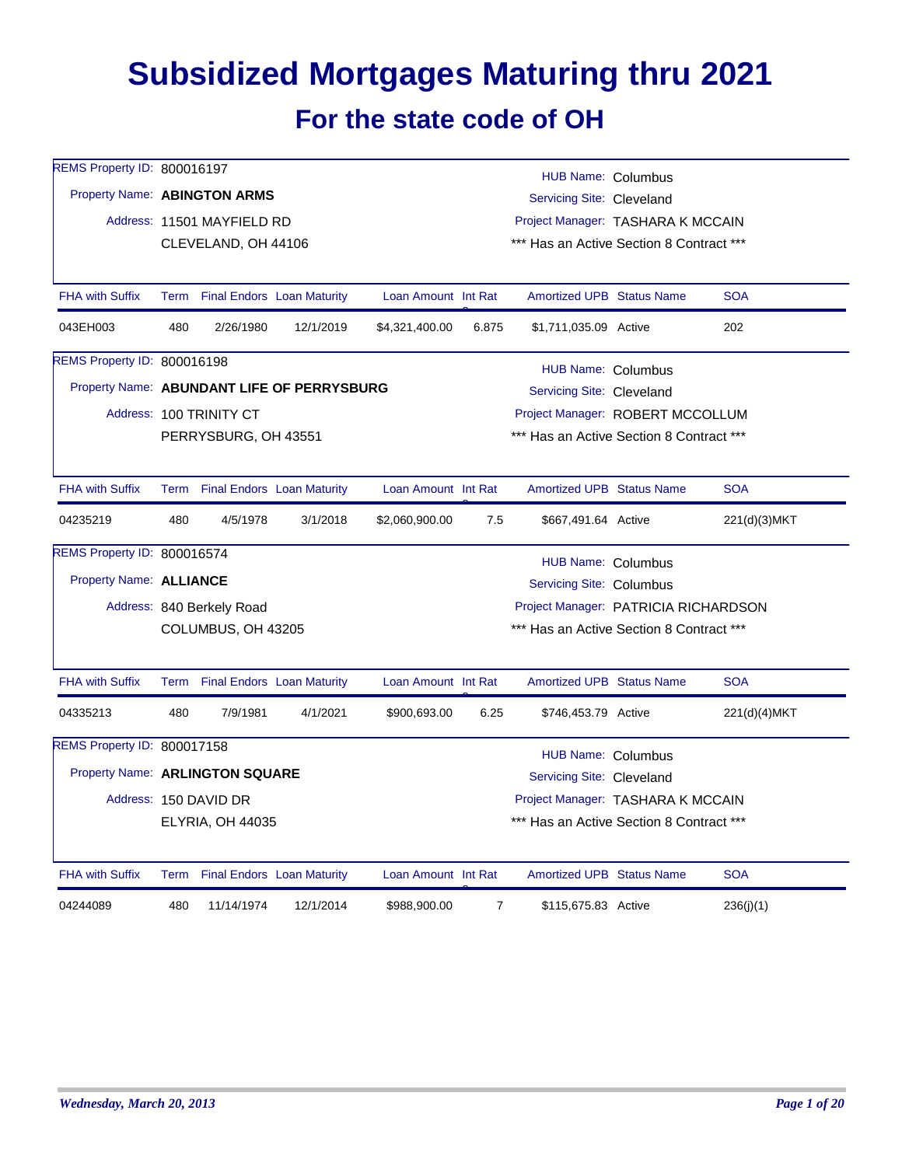## **Subsidized Mortgages Maturing thru 2021 For the state code of OH**

| REMS Property ID: 800016197                |     |                                 |           |                     |                                  | <b>HUB Name: Columbus</b>                |  |              |  |
|--------------------------------------------|-----|---------------------------------|-----------|---------------------|----------------------------------|------------------------------------------|--|--------------|--|
| Property Name: ABINGTON ARMS               |     |                                 |           |                     |                                  | Servicing Site: Cleveland                |  |              |  |
|                                            |     | Address: 11501 MAYFIELD RD      |           |                     |                                  | Project Manager: TASHARA K MCCAIN        |  |              |  |
|                                            |     | CLEVELAND, OH 44106             |           |                     |                                  | *** Has an Active Section 8 Contract *** |  |              |  |
|                                            |     |                                 |           |                     |                                  |                                          |  |              |  |
| <b>FHA with Suffix</b>                     |     | Term Final Endors Loan Maturity |           | Loan Amount Int Rat |                                  | <b>Amortized UPB Status Name</b>         |  | <b>SOA</b>   |  |
| 043EH003                                   | 480 | 2/26/1980                       | 12/1/2019 | \$4,321,400.00      | 6.875                            | \$1,711,035.09 Active                    |  | 202          |  |
| REMS Property ID: 800016198                |     |                                 |           |                     |                                  | <b>HUB Name: Columbus</b>                |  |              |  |
| Property Name: ABUNDANT LIFE OF PERRYSBURG |     |                                 |           |                     |                                  | Servicing Site: Cleveland                |  |              |  |
|                                            |     | Address: 100 TRINITY CT         |           |                     | Project Manager: ROBERT MCCOLLUM |                                          |  |              |  |
|                                            |     | PERRYSBURG, OH 43551            |           |                     |                                  | *** Has an Active Section 8 Contract *** |  |              |  |
|                                            |     |                                 |           |                     |                                  |                                          |  |              |  |
| <b>FHA with Suffix</b>                     |     | Term Final Endors Loan Maturity |           | Loan Amount Int Rat |                                  | <b>Amortized UPB Status Name</b>         |  | <b>SOA</b>   |  |
| 04235219                                   | 480 | 4/5/1978                        | 3/1/2018  | \$2,060,900.00      | 7.5                              | \$667,491.64 Active                      |  | 221(d)(3)MKT |  |
| REMS Property ID: 800016574                |     |                                 |           |                     |                                  | <b>HUB Name: Columbus</b>                |  |              |  |
| Property Name: ALLIANCE                    |     |                                 |           |                     |                                  | Servicing Site: Columbus                 |  |              |  |
|                                            |     | Address: 840 Berkely Road       |           |                     |                                  | Project Manager: PATRICIA RICHARDSON     |  |              |  |
|                                            |     | COLUMBUS, OH 43205              |           |                     |                                  | *** Has an Active Section 8 Contract *** |  |              |  |
|                                            |     |                                 |           |                     |                                  |                                          |  |              |  |
| <b>FHA with Suffix</b>                     |     | Term Final Endors Loan Maturity |           | Loan Amount Int Rat |                                  | <b>Amortized UPB Status Name</b>         |  | <b>SOA</b>   |  |
| 04335213                                   | 480 | 7/9/1981                        | 4/1/2021  | \$900,693.00        | 6.25                             | \$746,453.79 Active                      |  | 221(d)(4)MKT |  |
| REMS Property ID: 800017158                |     |                                 |           |                     |                                  | <b>HUB Name: Columbus</b>                |  |              |  |
| Property Name: ARLINGTON SQUARE            |     |                                 |           |                     |                                  | Servicing Site: Cleveland                |  |              |  |
|                                            |     | Address: 150 DAVID DR           |           |                     |                                  | Project Manager: TASHARA K MCCAIN        |  |              |  |
|                                            |     | ELYRIA, OH 44035                |           |                     |                                  | *** Has an Active Section 8 Contract *** |  |              |  |
|                                            |     |                                 |           |                     |                                  |                                          |  |              |  |
| <b>FHA with Suffix</b>                     |     | Term Final Endors Loan Maturity |           | Loan Amount Int Rat |                                  | <b>Amortized UPB Status Name</b>         |  | <b>SOA</b>   |  |
| 04244089                                   | 480 | 11/14/1974                      | 12/1/2014 | \$988,900.00        | $\overline{7}$                   | \$115,675.83 Active                      |  | 236(j)(1)    |  |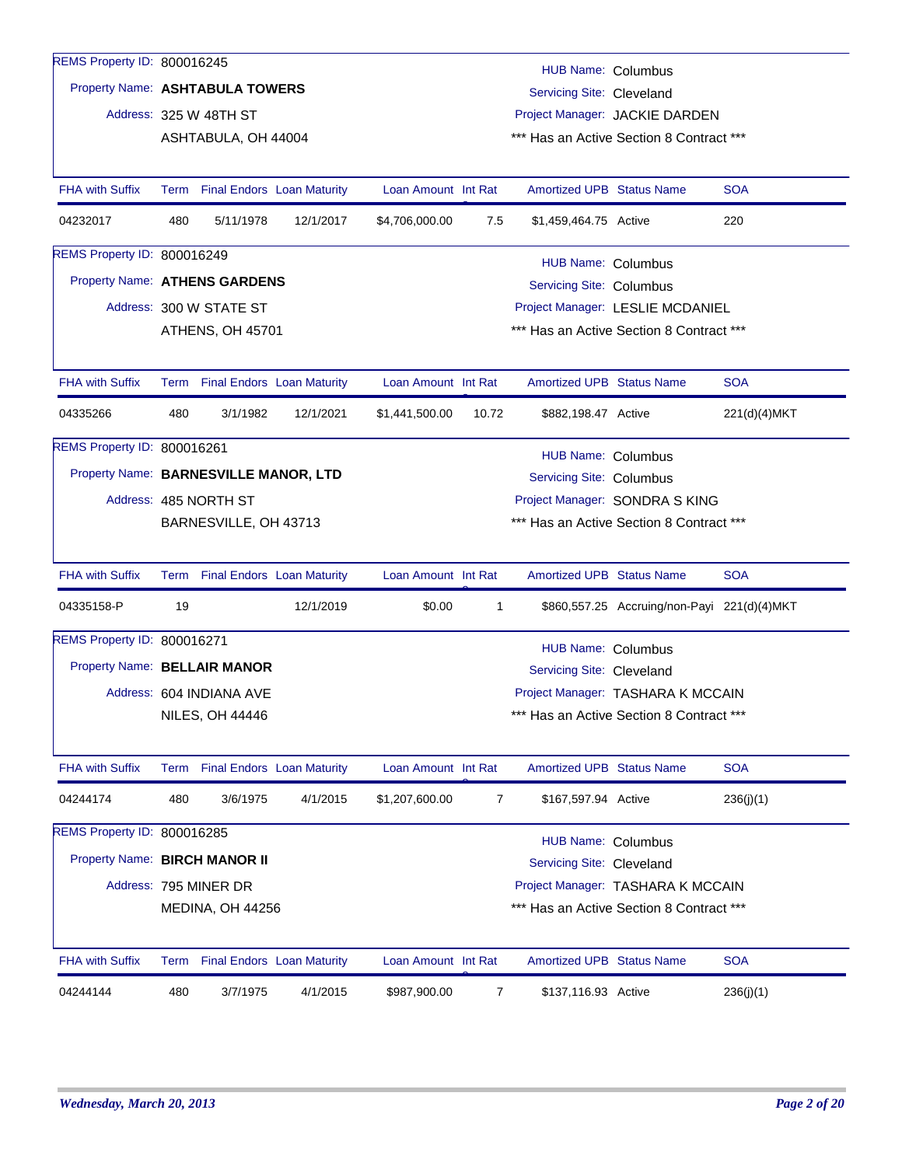| REMS Property ID: 800016245           |                                                              |                          |                                   |                                 |       |                                  |                                             |              |
|---------------------------------------|--------------------------------------------------------------|--------------------------|-----------------------------------|---------------------------------|-------|----------------------------------|---------------------------------------------|--------------|
|                                       |                                                              |                          |                                   |                                 |       | <b>HUB Name: Columbus</b>        |                                             |              |
| Property Name: ASHTABULA TOWERS       |                                                              |                          |                                   |                                 |       | Servicing Site: Cleveland        |                                             |              |
|                                       |                                                              | Address: 325 W 48TH ST   |                                   |                                 |       |                                  | Project Manager: JACKIE DARDEN              |              |
|                                       |                                                              | ASHTABULA, OH 44004      |                                   |                                 |       |                                  | *** Has an Active Section 8 Contract ***    |              |
|                                       |                                                              |                          |                                   |                                 |       |                                  |                                             |              |
| <b>FHA with Suffix</b>                |                                                              |                          | Term Final Endors Loan Maturity   | Loan Amount Int Rat             |       | <b>Amortized UPB Status Name</b> |                                             | <b>SOA</b>   |
| 04232017                              | 480                                                          | 5/11/1978                | 12/1/2017                         | \$4,706,000.00                  | 7.5   | \$1,459,464.75 Active            |                                             | 220          |
| REMS Property ID: 800016249           |                                                              |                          |                                   |                                 |       | <b>HUB Name: Columbus</b>        |                                             |              |
| Property Name: ATHENS GARDENS         |                                                              |                          |                                   |                                 |       | <b>Servicing Site: Columbus</b>  |                                             |              |
|                                       |                                                              | Address: 300 W STATE ST  |                                   |                                 |       |                                  | Project Manager: LESLIE MCDANIEL            |              |
|                                       |                                                              | ATHENS, OH 45701         |                                   |                                 |       |                                  | *** Has an Active Section 8 Contract ***    |              |
|                                       |                                                              |                          |                                   |                                 |       |                                  |                                             |              |
| <b>FHA with Suffix</b>                |                                                              |                          | Term Final Endors Loan Maturity   | Loan Amount Int Rat             |       | <b>Amortized UPB Status Name</b> |                                             | <b>SOA</b>   |
| 04335266                              | 480                                                          | 3/1/1982                 | 12/1/2021                         | \$1,441,500.00                  | 10.72 | \$882,198.47 Active              |                                             | 221(d)(4)MKT |
| REMS Property ID: 800016261           |                                                              |                          |                                   |                                 |       | <b>HUB Name: Columbus</b>        |                                             |              |
| Property Name: BARNESVILLE MANOR, LTD |                                                              |                          |                                   | <b>Servicing Site: Columbus</b> |       |                                  |                                             |              |
|                                       |                                                              | Address: 485 NORTH ST    |                                   |                                 |       |                                  | Project Manager: SONDRA S KING              |              |
|                                       |                                                              | BARNESVILLE, OH 43713    |                                   |                                 |       |                                  | *** Has an Active Section 8 Contract ***    |              |
|                                       |                                                              |                          |                                   |                                 |       |                                  |                                             |              |
| <b>FHA with Suffix</b>                |                                                              |                          | Term Final Endors Loan Maturity   | Loan Amount Int Rat             |       | <b>Amortized UPB Status Name</b> |                                             | <b>SOA</b>   |
| 04335158-P                            | 19                                                           |                          | 12/1/2019                         | \$0.00                          | 1     |                                  | \$860,557.25 Accruing/non-Payi 221(d)(4)MKT |              |
| REMS Property ID: 800016271           |                                                              |                          |                                   |                                 |       | <b>HUB Name: Columbus</b>        |                                             |              |
| Property Name: BELLAIR MANOR          |                                                              |                          |                                   |                                 |       | Servicing Site: Cleveland        |                                             |              |
|                                       |                                                              | Address: 604 INDIANA AVE |                                   |                                 |       |                                  | Project Manager: TASHARA K MCCAIN           |              |
|                                       |                                                              | <b>NILES, OH 44446</b>   |                                   |                                 |       |                                  | *** Has an Active Section 8 Contract ***    |              |
|                                       |                                                              |                          |                                   |                                 |       |                                  |                                             |              |
| <b>FHA with Suffix</b>                | Term                                                         |                          | <b>Final Endors Loan Maturity</b> | Loan Amount Int Rat             |       | <b>Amortized UPB Status Name</b> |                                             | <b>SOA</b>   |
| 04244174                              | 480                                                          | 3/6/1975                 | 4/1/2015                          | \$1,207,600.00                  | 7     | \$167,597.94 Active              |                                             | 236(i)(1)    |
| REMS Property ID: 800016285           |                                                              |                          |                                   |                                 |       | <b>HUB Name: Columbus</b>        |                                             |              |
| Property Name: BIRCH MANOR II         |                                                              |                          |                                   |                                 |       | Servicing Site: Cleveland        |                                             |              |
|                                       |                                                              | Address: 795 MINER DR    |                                   |                                 |       |                                  | Project Manager: TASHARA K MCCAIN           |              |
|                                       | *** Has an Active Section 8 Contract ***<br>MEDINA, OH 44256 |                          |                                   |                                 |       |                                  |                                             |              |
|                                       |                                                              |                          |                                   |                                 |       |                                  |                                             |              |
| <b>FHA with Suffix</b>                |                                                              |                          | Term Final Endors Loan Maturity   | Loan Amount Int Rat             |       | <b>Amortized UPB Status Name</b> |                                             | <b>SOA</b>   |
| 04244144                              | 480                                                          | 3/7/1975                 | 4/1/2015                          | \$987,900.00                    | 7     | \$137,116.93 Active              |                                             | 236(j)(1)    |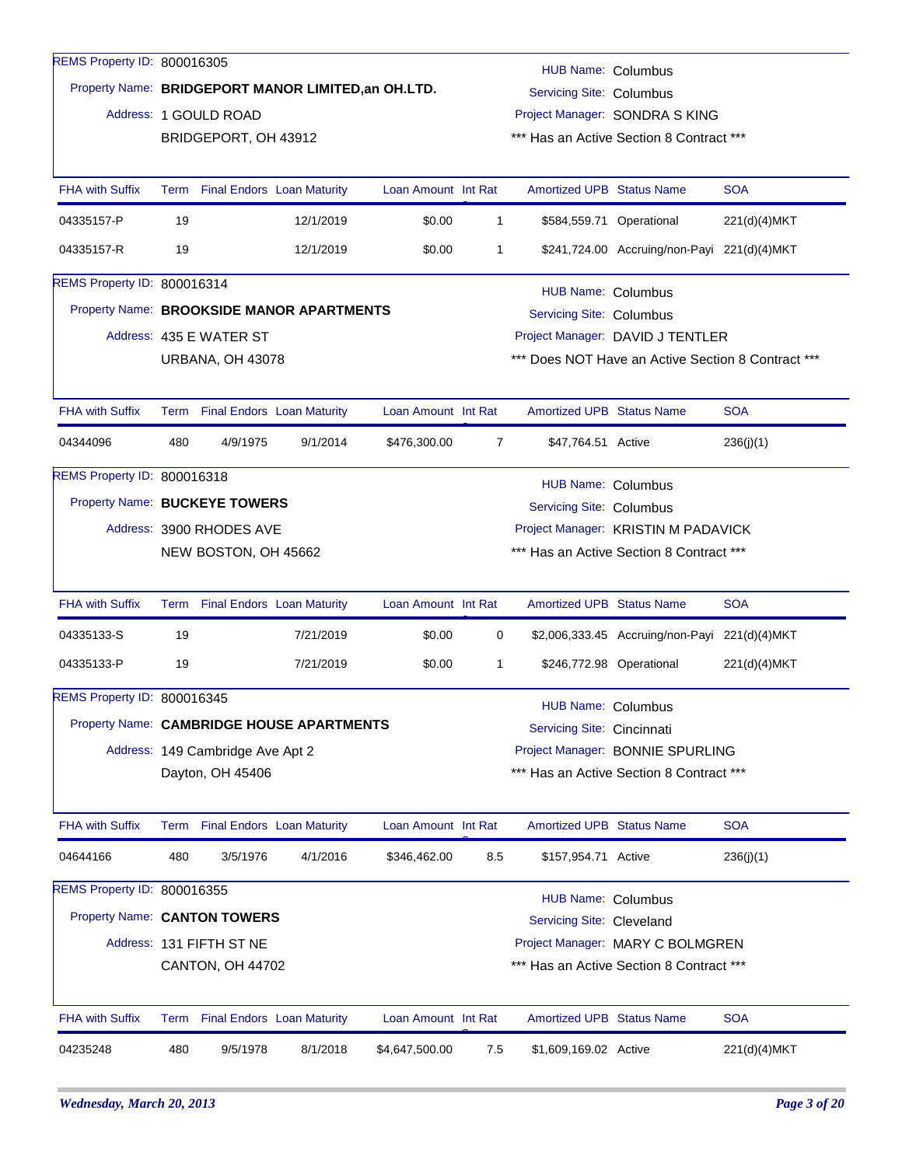| REMS Property ID: 800016305   |      |                                                              |                                                     |                     |              | <b>HUB Name: Columbus</b>        |                                                    |              |
|-------------------------------|------|--------------------------------------------------------------|-----------------------------------------------------|---------------------|--------------|----------------------------------|----------------------------------------------------|--------------|
|                               |      |                                                              | Property Name: BRIDGEPORT MANOR LIMITED, an OH.LTD. |                     |              | <b>Servicing Site: Columbus</b>  |                                                    |              |
|                               |      | Address: 1 GOULD ROAD                                        |                                                     |                     |              |                                  | Project Manager: SONDRA S KING                     |              |
|                               |      | BRIDGEPORT, OH 43912                                         |                                                     |                     |              |                                  | *** Has an Active Section 8 Contract ***           |              |
| <b>FHA with Suffix</b>        | Term | <b>Final Endors Loan Maturity</b>                            |                                                     | Loan Amount Int Rat |              | <b>Amortized UPB Status Name</b> |                                                    | <b>SOA</b>   |
| 04335157-P                    | 19   |                                                              | 12/1/2019                                           | \$0.00              | $\mathbf{1}$ |                                  | \$584,559.71 Operational                           | 221(d)(4)MKT |
| 04335157-R                    | 19   |                                                              | 12/1/2019                                           | \$0.00              | 1            |                                  | \$241,724.00 Accruing/non-Payi 221(d)(4)MKT        |              |
| REMS Property ID: 800016314   |      |                                                              |                                                     |                     |              | <b>HUB Name: Columbus</b>        |                                                    |              |
|                               |      |                                                              | Property Name: BROOKSIDE MANOR APARTMENTS           |                     |              | <b>Servicing Site: Columbus</b>  |                                                    |              |
|                               |      | Address: 435 E WATER ST                                      |                                                     |                     |              |                                  | Project Manager: DAVID J TENTLER                   |              |
|                               |      | URBANA, OH 43078                                             |                                                     |                     |              |                                  | *** Does NOT Have an Active Section 8 Contract *** |              |
| <b>FHA with Suffix</b>        |      | Term Final Endors Loan Maturity                              |                                                     | Loan Amount Int Rat |              | Amortized UPB Status Name        |                                                    | <b>SOA</b>   |
| 04344096                      | 480  | 4/9/1975                                                     | 9/1/2014                                            | \$476,300.00        | 7            | \$47,764.51 Active               |                                                    | 236(j)(1)    |
| REMS Property ID: 800016318   |      |                                                              |                                                     |                     |              | <b>HUB Name: Columbus</b>        |                                                    |              |
| Property Name: BUCKEYE TOWERS |      |                                                              |                                                     |                     |              | <b>Servicing Site: Columbus</b>  |                                                    |              |
|                               |      | Address: 3900 RHODES AVE                                     |                                                     |                     |              |                                  | Project Manager: KRISTIN M PADAVICK                |              |
|                               |      | NEW BOSTON, OH 45662                                         |                                                     |                     |              |                                  | *** Has an Active Section 8 Contract ***           |              |
| <b>FHA with Suffix</b>        |      | Term Final Endors Loan Maturity                              |                                                     | Loan Amount Int Rat |              | <b>Amortized UPB Status Name</b> |                                                    | <b>SOA</b>   |
| 04335133-S                    | 19   |                                                              | 7/21/2019                                           | \$0.00              | 0            |                                  | \$2,006,333.45 Accruing/non-Payi 221(d)(4)MKT      |              |
| 04335133-P                    | 19   |                                                              | 7/21/2019                                           | \$0.00              | 1            |                                  | \$246,772.98 Operational                           | 221(d)(4)MKT |
| REMS Property ID: 800016345   |      |                                                              |                                                     |                     |              | <b>HUB Name: Columbus</b>        |                                                    |              |
|                               |      |                                                              | Property Name: CAMBRIDGE HOUSE APARTMENTS           |                     |              | Servicing Site: Cincinnati       |                                                    |              |
|                               |      | Address: 149 Cambridge Ave Apt 2                             |                                                     |                     |              |                                  | Project Manager: BONNIE SPURLING                   |              |
|                               |      | Dayton, OH 45406                                             |                                                     |                     |              |                                  | *** Has an Active Section 8 Contract ***           |              |
| <b>FHA with Suffix</b>        | Term | <b>Final Endors Loan Maturity</b>                            |                                                     | Loan Amount Int Rat |              | <b>Amortized UPB Status Name</b> |                                                    | <b>SOA</b>   |
| 04644166                      | 480  | 3/5/1976                                                     | 4/1/2016                                            | \$346,462.00        | 8.5          | \$157,954.71 Active              |                                                    | 236(j)(1)    |
| REMS Property ID: 800016355   |      |                                                              |                                                     |                     |              | <b>HUB Name: Columbus</b>        |                                                    |              |
| Property Name: CANTON TOWERS  |      |                                                              |                                                     |                     |              | Servicing Site: Cleveland        |                                                    |              |
|                               |      | Address: 131 FIFTH ST NE                                     |                                                     |                     |              |                                  | Project Manager: MARY C BOLMGREN                   |              |
|                               |      | *** Has an Active Section 8 Contract ***<br>CANTON, OH 44702 |                                                     |                     |              |                                  |                                                    |              |
| <b>FHA with Suffix</b>        |      | Term Final Endors Loan Maturity                              |                                                     | Loan Amount Int Rat |              | <b>Amortized UPB Status Name</b> |                                                    | <b>SOA</b>   |
| 04235248                      | 480  | 9/5/1978                                                     | 8/1/2018                                            | \$4,647,500.00      | 7.5          | \$1,609,169.02 Active            |                                                    | 221(d)(4)MKT |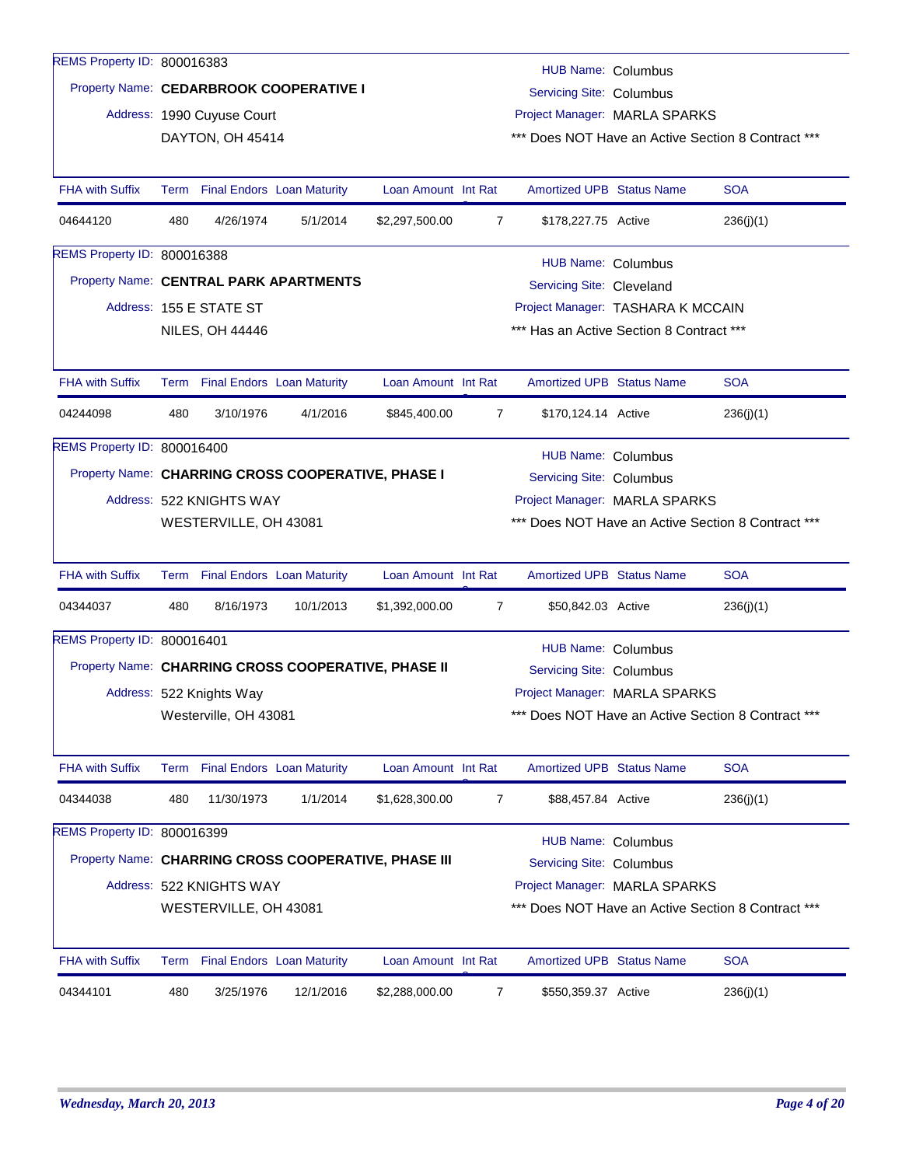| REMS Property ID: 800016383 |      |                                   |                                                      |                     |                                          |                                   |  |                                                    |  |  |
|-----------------------------|------|-----------------------------------|------------------------------------------------------|---------------------|------------------------------------------|-----------------------------------|--|----------------------------------------------------|--|--|
|                             |      |                                   | Property Name: CEDARBROOK COOPERATIVE I              |                     |                                          | <b>HUB Name: Columbus</b>         |  |                                                    |  |  |
|                             |      |                                   |                                                      |                     |                                          | <b>Servicing Site: Columbus</b>   |  |                                                    |  |  |
|                             |      | Address: 1990 Cuyuse Court        |                                                      |                     |                                          | Project Manager: MARLA SPARKS     |  |                                                    |  |  |
|                             |      | DAYTON, OH 45414                  |                                                      |                     |                                          |                                   |  | *** Does NOT Have an Active Section 8 Contract *** |  |  |
| <b>FHA with Suffix</b>      |      | Term Final Endors Loan Maturity   |                                                      | Loan Amount Int Rat |                                          | <b>Amortized UPB Status Name</b>  |  | <b>SOA</b>                                         |  |  |
| 04644120                    | 480  | 4/26/1974                         | 5/1/2014                                             | \$2,297,500.00      | 7                                        | \$178,227.75 Active               |  | 236(j)(1)                                          |  |  |
| REMS Property ID: 800016388 |      |                                   |                                                      |                     |                                          | HUB Name: Columbus                |  |                                                    |  |  |
|                             |      |                                   | Property Name: CENTRAL PARK APARTMENTS               |                     |                                          | Servicing Site: Cleveland         |  |                                                    |  |  |
|                             |      | Address: 155 E STATE ST           |                                                      |                     |                                          | Project Manager: TASHARA K MCCAIN |  |                                                    |  |  |
|                             |      | <b>NILES, OH 44446</b>            |                                                      |                     | *** Has an Active Section 8 Contract *** |                                   |  |                                                    |  |  |
|                             |      |                                   |                                                      |                     |                                          |                                   |  |                                                    |  |  |
| FHA with Suffix             |      | Term Final Endors Loan Maturity   |                                                      | Loan Amount Int Rat |                                          | Amortized UPB Status Name         |  | <b>SOA</b>                                         |  |  |
| 04244098                    | 480  | 3/10/1976                         | 4/1/2016                                             | \$845,400.00        | $\overline{7}$                           | \$170,124.14 Active               |  | 236(j)(1)                                          |  |  |
| REMS Property ID: 800016400 |      |                                   |                                                      |                     |                                          | <b>HUB Name: Columbus</b>         |  |                                                    |  |  |
|                             |      |                                   | Property Name: CHARRING CROSS COOPERATIVE, PHASE I   |                     |                                          | <b>Servicing Site: Columbus</b>   |  |                                                    |  |  |
|                             |      | Address: 522 KNIGHTS WAY          |                                                      |                     |                                          | Project Manager: MARLA SPARKS     |  |                                                    |  |  |
|                             |      | WESTERVILLE, OH 43081             |                                                      |                     |                                          |                                   |  | *** Does NOT Have an Active Section 8 Contract *** |  |  |
|                             |      |                                   |                                                      |                     |                                          |                                   |  |                                                    |  |  |
| <b>FHA with Suffix</b>      |      | Term Final Endors Loan Maturity   |                                                      | Loan Amount Int Rat |                                          | <b>Amortized UPB Status Name</b>  |  | <b>SOA</b>                                         |  |  |
| 04344037                    | 480  | 8/16/1973                         | 10/1/2013                                            | \$1,392,000.00      | $\overline{7}$                           | \$50,842.03 Active                |  | 236(j)(1)                                          |  |  |
| REMS Property ID: 800016401 |      |                                   |                                                      |                     |                                          | <b>HUB Name: Columbus</b>         |  |                                                    |  |  |
|                             |      |                                   | Property Name: CHARRING CROSS COOPERATIVE, PHASE II  |                     |                                          | <b>Servicing Site: Columbus</b>   |  |                                                    |  |  |
|                             |      | Address: 522 Knights Way          |                                                      |                     |                                          | Project Manager: MARLA SPARKS     |  |                                                    |  |  |
|                             |      | Westerville, OH 43081             |                                                      |                     |                                          |                                   |  | *** Does NOT Have an Active Section 8 Contract *** |  |  |
|                             |      |                                   |                                                      |                     |                                          |                                   |  |                                                    |  |  |
| <b>FHA with Suffix</b>      | Term | <b>Final Endors Loan Maturity</b> |                                                      | Loan Amount Int Rat |                                          | <b>Amortized UPB Status Name</b>  |  | <b>SOA</b>                                         |  |  |
| 04344038                    | 480  | 11/30/1973                        | 1/1/2014                                             | \$1,628,300.00      | $\overline{7}$                           | \$88,457.84 Active                |  | 236(j)(1)                                          |  |  |
| REMS Property ID: 800016399 |      |                                   |                                                      |                     |                                          | <b>HUB Name: Columbus</b>         |  |                                                    |  |  |
|                             |      |                                   | Property Name: CHARRING CROSS COOPERATIVE, PHASE III |                     |                                          | <b>Servicing Site: Columbus</b>   |  |                                                    |  |  |
|                             |      | Address: 522 KNIGHTS WAY          |                                                      |                     |                                          | Project Manager: MARLA SPARKS     |  |                                                    |  |  |
|                             |      | WESTERVILLE, OH 43081             |                                                      |                     |                                          |                                   |  | *** Does NOT Have an Active Section 8 Contract *** |  |  |
|                             |      |                                   |                                                      |                     |                                          |                                   |  |                                                    |  |  |
| <b>FHA with Suffix</b>      |      | Term Final Endors Loan Maturity   |                                                      | Loan Amount Int Rat |                                          | <b>Amortized UPB Status Name</b>  |  | <b>SOA</b>                                         |  |  |
| 04344101                    | 480  | 3/25/1976                         | 12/1/2016                                            | \$2,288,000.00      | $\overline{7}$                           | \$550,359.37 Active               |  | 236(j)(1)                                          |  |  |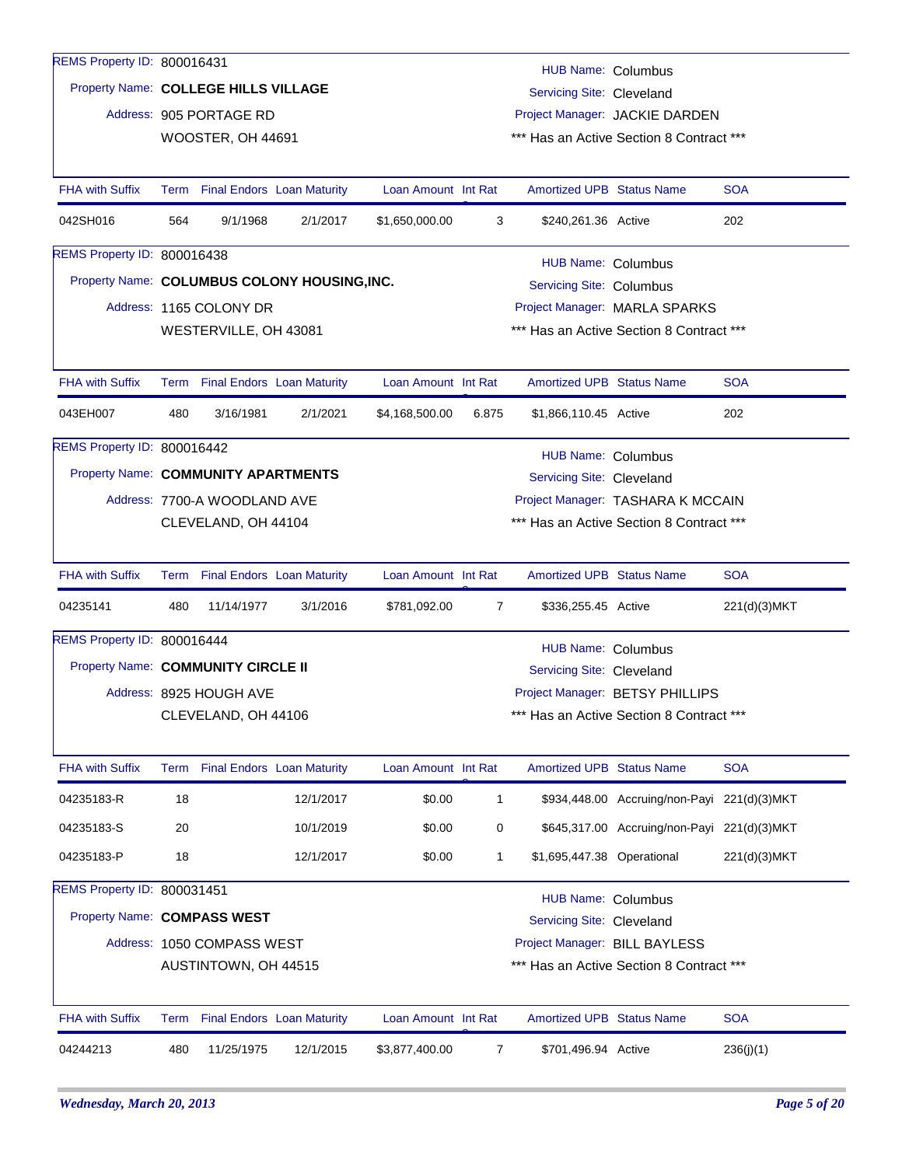| REMS Property ID: 800016431          |     |                                 |                                              |                     |                |                                  |                                             |              |  |
|--------------------------------------|-----|---------------------------------|----------------------------------------------|---------------------|----------------|----------------------------------|---------------------------------------------|--------------|--|
| Property Name: COLLEGE HILLS VILLAGE |     |                                 |                                              |                     |                | <b>HUB Name: Columbus</b>        |                                             |              |  |
|                                      |     | Address: 905 PORTAGE RD         |                                              |                     |                | <b>Servicing Site: Cleveland</b> | Project Manager: JACKIE DARDEN              |              |  |
|                                      |     | WOOSTER, OH 44691               |                                              |                     |                |                                  | *** Has an Active Section 8 Contract ***    |              |  |
|                                      |     |                                 |                                              |                     |                |                                  |                                             |              |  |
| <b>FHA with Suffix</b>               |     | Term Final Endors Loan Maturity |                                              | Loan Amount Int Rat |                | <b>Amortized UPB Status Name</b> |                                             | <b>SOA</b>   |  |
| 042SH016                             | 564 | 9/1/1968                        | 2/1/2017                                     | \$1,650,000.00      | 3              | \$240,261.36 Active              |                                             | 202          |  |
| REMS Property ID: 800016438          |     |                                 |                                              |                     |                | <b>HUB Name: Columbus</b>        |                                             |              |  |
|                                      |     |                                 | Property Name: COLUMBUS COLONY HOUSING, INC. |                     |                | <b>Servicing Site: Columbus</b>  |                                             |              |  |
|                                      |     | Address: 1165 COLONY DR         |                                              |                     |                | Project Manager: MARLA SPARKS    |                                             |              |  |
|                                      |     | WESTERVILLE, OH 43081           |                                              |                     |                |                                  | *** Has an Active Section 8 Contract ***    |              |  |
| <b>FHA with Suffix</b>               |     | Term Final Endors Loan Maturity |                                              | Loan Amount Int Rat |                | <b>Amortized UPB Status Name</b> |                                             | <b>SOA</b>   |  |
| 043EH007                             | 480 | 3/16/1981                       | 2/1/2021                                     | \$4,168,500.00      | 6.875          | \$1,866,110.45 Active            |                                             | 202          |  |
| REMS Property ID: 800016442          |     |                                 |                                              |                     |                | <b>HUB Name: Columbus</b>        |                                             |              |  |
| Property Name: COMMUNITY APARTMENTS  |     |                                 |                                              |                     |                | Servicing Site: Cleveland        |                                             |              |  |
|                                      |     | Address: 7700-A WOODLAND AVE    |                                              |                     |                |                                  | Project Manager: TASHARA K MCCAIN           |              |  |
|                                      |     | CLEVELAND, OH 44104             |                                              |                     |                |                                  | *** Has an Active Section 8 Contract ***    |              |  |
| <b>FHA with Suffix</b>               |     | Term Final Endors Loan Maturity |                                              | Loan Amount Int Rat |                | <b>Amortized UPB Status Name</b> |                                             | <b>SOA</b>   |  |
| 04235141                             | 480 | 11/14/1977                      | 3/1/2016                                     | \$781,092.00        | $\overline{7}$ | \$336,255.45 Active              |                                             | 221(d)(3)MKT |  |
| REMS Property ID: 800016444          |     |                                 |                                              |                     |                | <b>HUB Name: Columbus</b>        |                                             |              |  |
| Property Name: COMMUNITY CIRCLE II   |     |                                 |                                              |                     |                | Servicing Site: Cleveland        |                                             |              |  |
|                                      |     | Address: 8925 HOUGH AVE         |                                              |                     |                |                                  | Project Manager: BETSY PHILLIPS             |              |  |
|                                      |     | CLEVELAND, OH 44106             |                                              |                     |                |                                  | *** Has an Active Section 8 Contract ***    |              |  |
| <b>FHA with Suffix</b>               |     | Term Final Endors Loan Maturity |                                              | Loan Amount Int Rat |                | <b>Amortized UPB Status Name</b> |                                             | <b>SOA</b>   |  |
| 04235183-R                           | 18  |                                 | 12/1/2017                                    | \$0.00              | $\mathbf{1}$   |                                  | \$934,448.00 Accruing/non-Payi 221(d)(3)MKT |              |  |
| 04235183-S                           | 20  |                                 | 10/1/2019                                    | \$0.00              | 0              |                                  | \$645,317.00 Accruing/non-Payi 221(d)(3)MKT |              |  |
| 04235183-P                           | 18  |                                 | 12/1/2017                                    | \$0.00              | $\mathbf{1}$   | \$1,695,447.38 Operational       |                                             | 221(d)(3)MKT |  |
| REMS Property ID: 800031451          |     |                                 |                                              |                     |                |                                  |                                             |              |  |
|                                      |     |                                 |                                              |                     |                | HUB Name: Columbus               |                                             |              |  |
| Property Name: COMPASS WEST          |     |                                 |                                              |                     |                | Servicing Site: Cleveland        |                                             |              |  |
|                                      |     | Address: 1050 COMPASS WEST      |                                              |                     |                | Project Manager: BILL BAYLESS    |                                             |              |  |
|                                      |     | AUSTINTOWN, OH 44515            |                                              |                     |                |                                  | *** Has an Active Section 8 Contract ***    |              |  |
| <b>FHA with Suffix</b>               |     | Term Final Endors Loan Maturity |                                              | Loan Amount Int Rat |                | Amortized UPB Status Name        |                                             | <b>SOA</b>   |  |
| 04244213                             | 480 | 11/25/1975                      | 12/1/2015                                    | \$3,877,400.00      | $\overline{7}$ | \$701,496.94 Active              |                                             | 236(j)(1)    |  |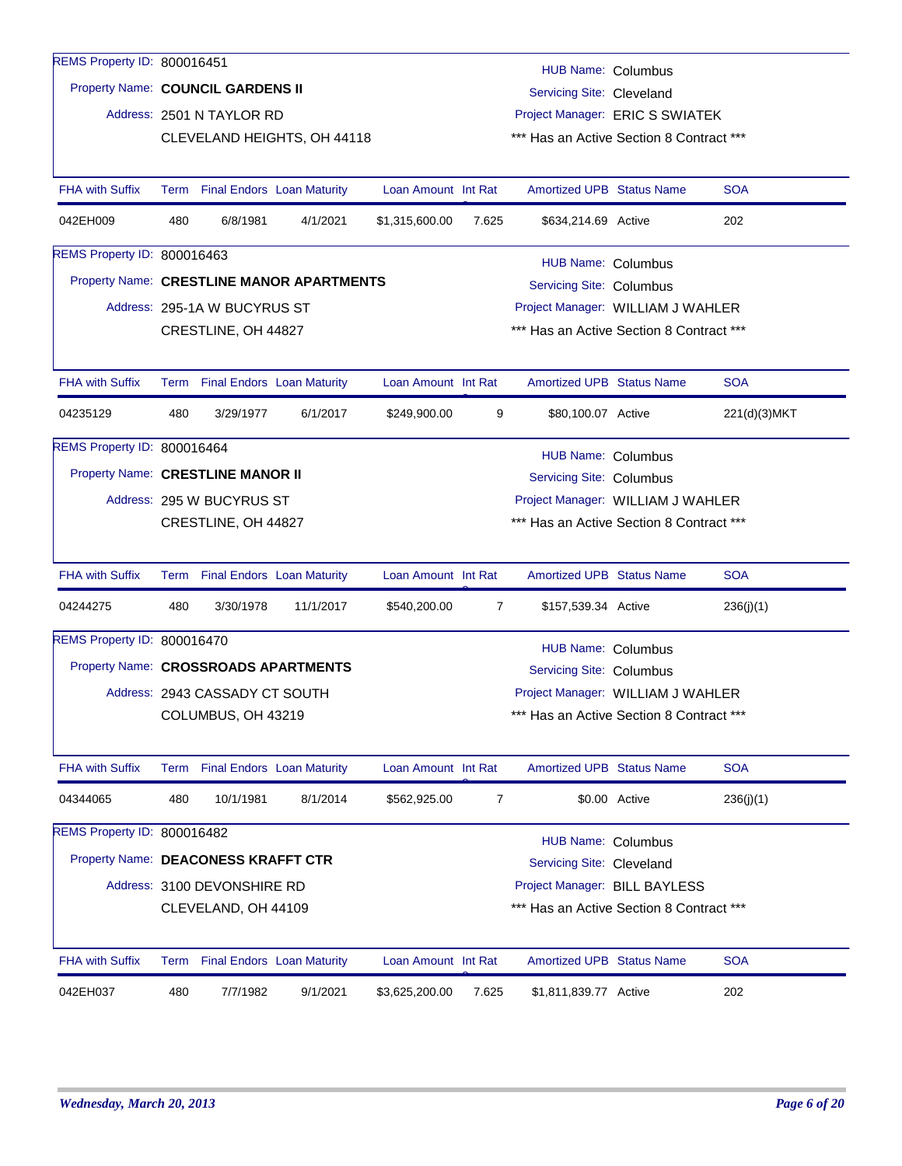| REMS Property ID: 800016451          |     |                                 |                                           |                     |       | <b>HUB Name: Columbus</b>                |                                 |              |  |
|--------------------------------------|-----|---------------------------------|-------------------------------------------|---------------------|-------|------------------------------------------|---------------------------------|--------------|--|
| Property Name: COUNCIL GARDENS II    |     |                                 |                                           |                     |       | Servicing Site: Cleveland                |                                 |              |  |
|                                      |     | Address: 2501 N TAYLOR RD       |                                           |                     |       | Project Manager: ERIC S SWIATEK          |                                 |              |  |
|                                      |     |                                 | CLEVELAND HEIGHTS, OH 44118               |                     |       | *** Has an Active Section 8 Contract *** |                                 |              |  |
|                                      |     |                                 |                                           |                     |       |                                          |                                 |              |  |
| <b>FHA with Suffix</b>               |     | Term Final Endors Loan Maturity |                                           | Loan Amount Int Rat |       | <b>Amortized UPB Status Name</b>         |                                 | <b>SOA</b>   |  |
| 042EH009                             | 480 | 6/8/1981                        | 4/1/2021                                  | \$1,315,600.00      | 7.625 | \$634,214.69 Active                      |                                 | 202          |  |
| REMS Property ID: 800016463          |     |                                 |                                           |                     |       | HUB Name: Columbus                       |                                 |              |  |
|                                      |     |                                 | Property Name: CRESTLINE MANOR APARTMENTS |                     |       |                                          | <b>Servicing Site: Columbus</b> |              |  |
|                                      |     | Address: 295-1A W BUCYRUS ST    |                                           |                     |       | Project Manager: WILLIAM J WAHLER        |                                 |              |  |
|                                      |     | CRESTLINE, OH 44827             |                                           |                     |       | *** Has an Active Section 8 Contract *** |                                 |              |  |
|                                      |     |                                 |                                           |                     |       |                                          |                                 |              |  |
| <b>FHA with Suffix</b>               |     | Term Final Endors Loan Maturity |                                           | Loan Amount Int Rat |       | <b>Amortized UPB Status Name</b>         |                                 | <b>SOA</b>   |  |
| 04235129                             | 480 | 3/29/1977                       | 6/1/2017                                  | \$249,900.00        | 9     | \$80,100.07 Active                       |                                 | 221(d)(3)MKT |  |
| REMS Property ID: 800016464          |     |                                 |                                           |                     |       | HUB Name: Columbus                       |                                 |              |  |
| Property Name: CRESTLINE MANOR II    |     |                                 |                                           |                     |       | <b>Servicing Site: Columbus</b>          |                                 |              |  |
|                                      |     | Address: 295 W BUCYRUS ST       |                                           |                     |       | Project Manager: WILLIAM J WAHLER        |                                 |              |  |
|                                      |     | CRESTLINE, OH 44827             |                                           |                     |       | *** Has an Active Section 8 Contract *** |                                 |              |  |
|                                      |     |                                 |                                           |                     |       |                                          |                                 |              |  |
| <b>FHA with Suffix</b>               |     | Term Final Endors Loan Maturity |                                           | Loan Amount Int Rat |       | <b>Amortized UPB Status Name</b>         |                                 | <b>SOA</b>   |  |
| 04244275                             | 480 | 3/30/1978                       | 11/1/2017                                 | \$540,200.00        | 7     | \$157,539.34 Active                      |                                 | 236(j)(1)    |  |
| REMS Property ID: 800016470          |     |                                 |                                           |                     |       | <b>HUB Name: Columbus</b>                |                                 |              |  |
| Property Name: CROSSROADS APARTMENTS |     |                                 |                                           |                     |       | <b>Servicing Site: Columbus</b>          |                                 |              |  |
|                                      |     | Address: 2943 CASSADY CT SOUTH  |                                           |                     |       | Project Manager: WILLIAM J WAHLER        |                                 |              |  |
|                                      |     | COLUMBUS, OH 43219              |                                           |                     |       | *** Has an Active Section 8 Contract *** |                                 |              |  |
|                                      |     |                                 |                                           |                     |       |                                          |                                 |              |  |
| <b>FHA with Suffix</b>               |     | Term Final Endors Loan Maturity |                                           | Loan Amount Int Rat |       | <b>Amortized UPB Status Name</b>         |                                 | <b>SOA</b>   |  |
| 04344065                             | 480 | 10/1/1981                       | 8/1/2014                                  | \$562,925.00        | 7     |                                          | \$0.00 Active                   | 236(j)(1)    |  |
| REMS Property ID: 800016482          |     |                                 |                                           |                     |       | <b>HUB Name: Columbus</b>                |                                 |              |  |
| Property Name: DEACONESS KRAFFT CTR  |     |                                 |                                           |                     |       | Servicing Site: Cleveland                |                                 |              |  |
|                                      |     | Address: 3100 DEVONSHIRE RD     |                                           |                     |       | Project Manager: BILL BAYLESS            |                                 |              |  |
|                                      |     | CLEVELAND, OH 44109             |                                           |                     |       | *** Has an Active Section 8 Contract *** |                                 |              |  |
|                                      |     |                                 |                                           |                     |       |                                          |                                 |              |  |
| <b>FHA with Suffix</b>               |     | Term Final Endors Loan Maturity |                                           | Loan Amount Int Rat |       | <b>Amortized UPB Status Name</b>         |                                 | <b>SOA</b>   |  |
| 042EH037                             | 480 | 7/7/1982                        | 9/1/2021                                  | \$3,625,200.00      | 7.625 | \$1,811,839.77 Active                    |                                 | 202          |  |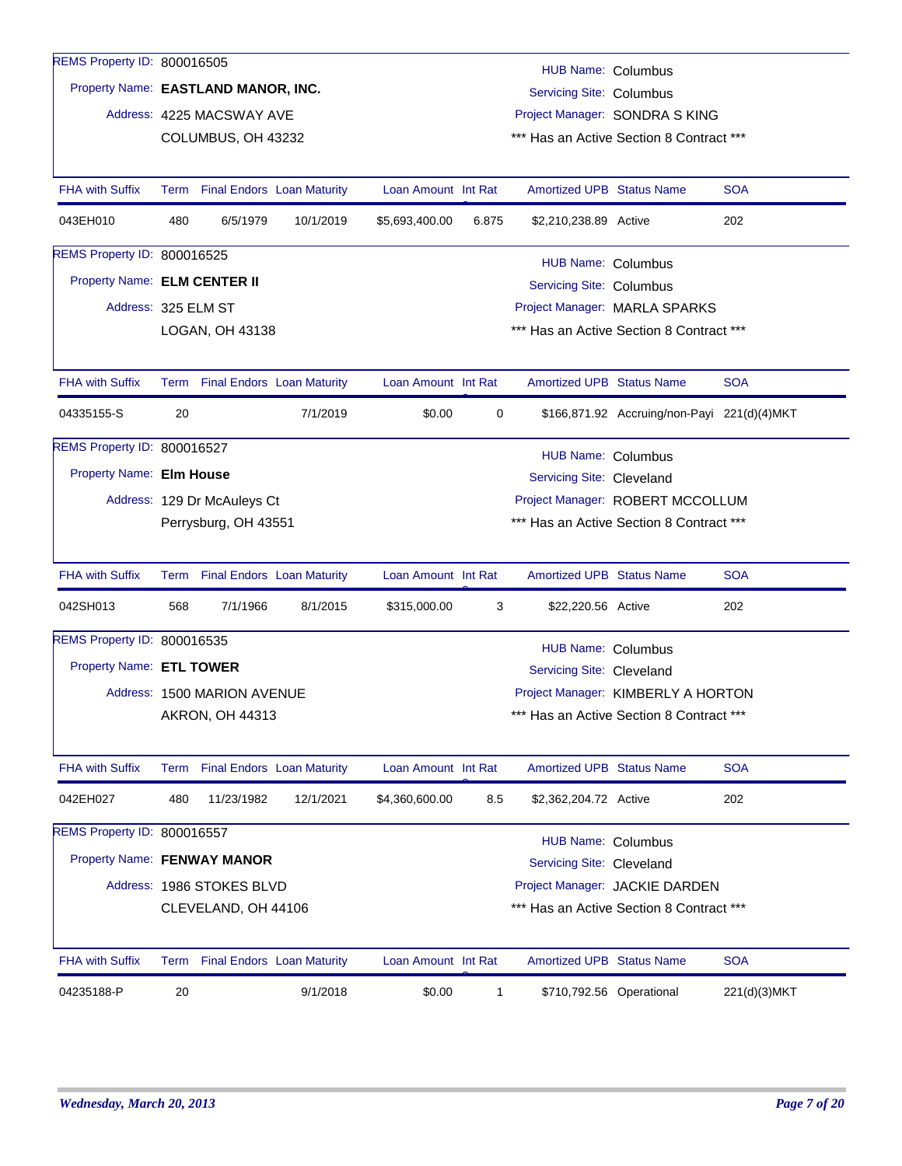| REMS Property ID: 800016505 |                                                 |                     |       |                                                              |                                             |              |
|-----------------------------|-------------------------------------------------|---------------------|-------|--------------------------------------------------------------|---------------------------------------------|--------------|
|                             | Property Name: EASTLAND MANOR, INC.             |                     |       | <b>HUB Name: Columbus</b><br><b>Servicing Site: Columbus</b> |                                             |              |
|                             |                                                 |                     |       |                                                              | Project Manager: SONDRA S KING              |              |
|                             | Address: 4225 MACSWAY AVE<br>COLUMBUS, OH 43232 |                     |       |                                                              | *** Has an Active Section 8 Contract ***    |              |
|                             |                                                 |                     |       |                                                              |                                             |              |
| <b>FHA with Suffix</b>      | <b>Final Endors</b> Loan Maturity<br>Term       | Loan Amount Int Rat |       | <b>Amortized UPB Status Name</b>                             |                                             | <b>SOA</b>   |
| 043EH010                    | 480<br>6/5/1979<br>10/1/2019                    | \$5,693,400.00      | 6.875 | \$2,210,238.89 Active                                        |                                             | 202          |
| REMS Property ID: 800016525 |                                                 |                     |       | <b>HUB Name: Columbus</b>                                    |                                             |              |
|                             | Property Name: ELM CENTER II                    |                     |       | <b>Servicing Site: Columbus</b>                              |                                             |              |
|                             | Address: 325 ELM ST                             |                     |       |                                                              | Project Manager: MARLA SPARKS               |              |
|                             | LOGAN, OH 43138                                 |                     |       |                                                              | *** Has an Active Section 8 Contract ***    |              |
|                             |                                                 |                     |       |                                                              |                                             |              |
| <b>FHA with Suffix</b>      | Term Final Endors Loan Maturity                 | Loan Amount Int Rat |       | <b>Amortized UPB Status Name</b>                             |                                             | <b>SOA</b>   |
| 04335155-S                  | 20<br>7/1/2019                                  | \$0.00              | 0     |                                                              | \$166,871.92 Accruing/non-Payi 221(d)(4)MKT |              |
| REMS Property ID: 800016527 |                                                 |                     |       | <b>HUB Name: Columbus</b>                                    |                                             |              |
| Property Name: Elm House    |                                                 |                     |       | Servicing Site: Cleveland                                    |                                             |              |
|                             | Address: 129 Dr McAuleys Ct                     |                     |       |                                                              | Project Manager: ROBERT MCCOLLUM            |              |
|                             | Perrysburg, OH 43551                            |                     |       |                                                              | *** Has an Active Section 8 Contract ***    |              |
|                             |                                                 |                     |       |                                                              |                                             |              |
| <b>FHA with Suffix</b>      | Term Final Endors Loan Maturity                 | Loan Amount Int Rat |       | <b>Amortized UPB Status Name</b>                             |                                             | <b>SOA</b>   |
| 042SH013                    | 7/1/1966<br>568<br>8/1/2015                     | \$315,000.00        | 3     | \$22,220.56 Active                                           |                                             | 202          |
| REMS Property ID: 800016535 |                                                 |                     |       | <b>HUB Name: Columbus</b>                                    |                                             |              |
| Property Name: ETL TOWER    |                                                 |                     |       | Servicing Site: Cleveland                                    |                                             |              |
|                             | Address: 1500 MARION AVENUE                     |                     |       |                                                              | Project Manager: KIMBERLY A HORTON          |              |
|                             | <b>AKRON, OH 44313</b>                          |                     |       |                                                              | *** Has an Active Section 8 Contract ***    |              |
|                             |                                                 |                     |       |                                                              |                                             |              |
| <b>FHA with Suffix</b>      | <b>Final Endors Loan Maturity</b><br>Term       | Loan Amount Int Rat |       | <b>Amortized UPB Status Name</b>                             |                                             | <b>SOA</b>   |
| 042EH027                    | 480<br>11/23/1982<br>12/1/2021                  | \$4,360,600.00      | 8.5   | \$2,362,204.72 Active                                        |                                             | 202          |
| REMS Property ID: 800016557 |                                                 |                     |       | <b>HUB Name: Columbus</b>                                    |                                             |              |
|                             | Property Name: FENWAY MANOR                     |                     |       | Servicing Site: Cleveland                                    |                                             |              |
|                             | Address: 1986 STOKES BLVD                       |                     |       |                                                              | Project Manager: JACKIE DARDEN              |              |
|                             | CLEVELAND, OH 44106                             |                     |       |                                                              | *** Has an Active Section 8 Contract ***    |              |
|                             |                                                 |                     |       |                                                              |                                             |              |
| <b>FHA with Suffix</b>      | Term Final Endors Loan Maturity                 | Loan Amount Int Rat |       | <b>Amortized UPB Status Name</b>                             |                                             | <b>SOA</b>   |
| 04235188-P                  | 9/1/2018<br>20                                  | \$0.00              | 1     |                                                              | \$710,792.56 Operational                    | 221(d)(3)MKT |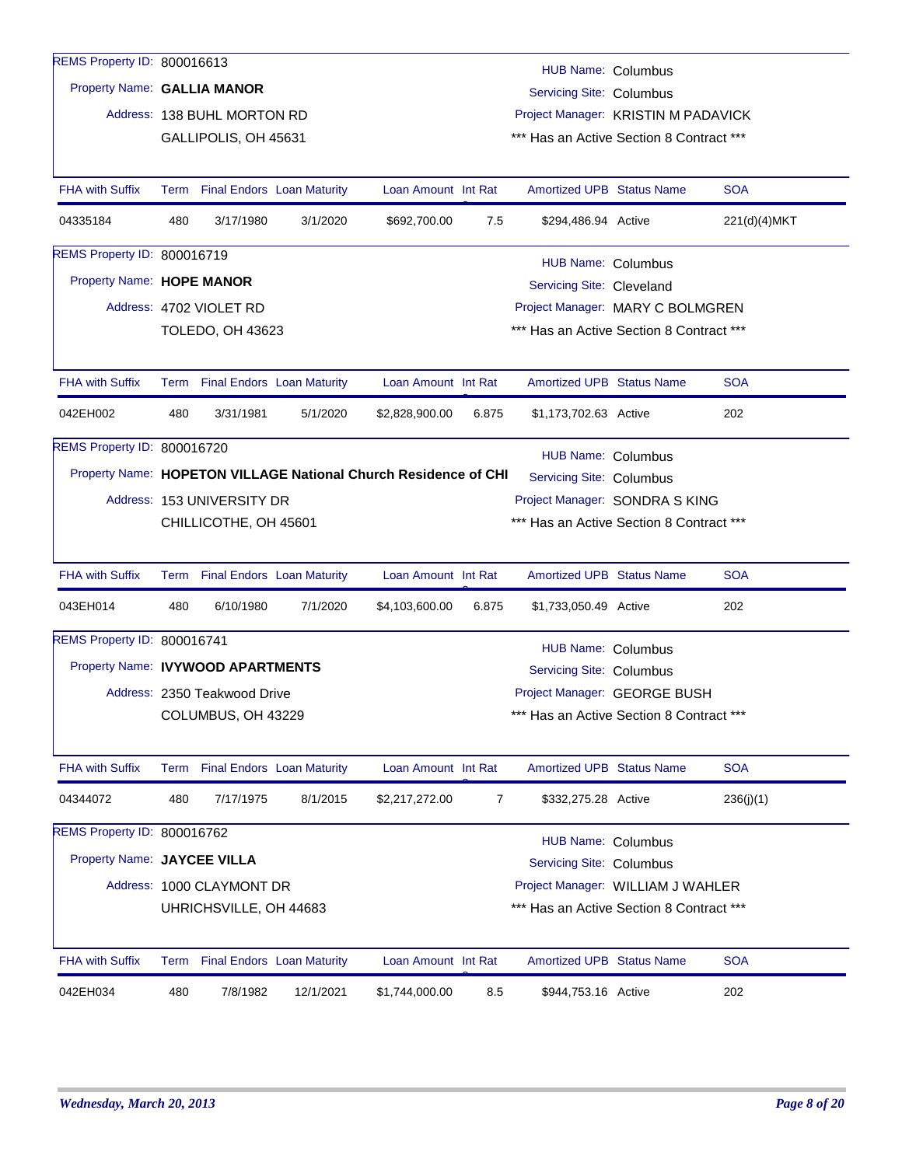| REMS Property ID: 800016613       |      |                              |                                   |                                                                 |       | <b>HUB Name: Columbus</b>                |                                                                      |              |  |
|-----------------------------------|------|------------------------------|-----------------------------------|-----------------------------------------------------------------|-------|------------------------------------------|----------------------------------------------------------------------|--------------|--|
| Property Name: GALLIA MANOR       |      |                              |                                   |                                                                 |       | <b>Servicing Site: Columbus</b>          |                                                                      |              |  |
|                                   |      | Address: 138 BUHL MORTON RD  |                                   |                                                                 |       | Project Manager: KRISTIN M PADAVICK      |                                                                      |              |  |
|                                   |      | GALLIPOLIS, OH 45631         |                                   |                                                                 |       | *** Has an Active Section 8 Contract *** |                                                                      |              |  |
|                                   |      |                              |                                   |                                                                 |       |                                          |                                                                      |              |  |
| <b>FHA with Suffix</b>            |      |                              | Term Final Endors Loan Maturity   | Loan Amount Int Rat                                             |       | <b>Amortized UPB Status Name</b>         |                                                                      | <b>SOA</b>   |  |
| 04335184                          | 480  | 3/17/1980                    | 3/1/2020                          | \$692,700.00                                                    | 7.5   | \$294,486.94 Active                      |                                                                      | 221(d)(4)MKT |  |
| REMS Property ID: 800016719       |      |                              |                                   |                                                                 |       |                                          |                                                                      |              |  |
| Property Name: HOPE MANOR         |      |                              |                                   |                                                                 |       | <b>HUB Name: Columbus</b>                |                                                                      |              |  |
|                                   |      | Address: 4702 VIOLET RD      |                                   |                                                                 |       |                                          | <b>Servicing Site: Cleveland</b><br>Project Manager: MARY C BOLMGREN |              |  |
|                                   |      | TOLEDO, OH 43623             |                                   |                                                                 |       | *** Has an Active Section 8 Contract *** |                                                                      |              |  |
|                                   |      |                              |                                   |                                                                 |       |                                          |                                                                      |              |  |
| <b>FHA with Suffix</b>            |      |                              | Term Final Endors Loan Maturity   | Loan Amount Int Rat                                             |       | <b>Amortized UPB Status Name</b>         |                                                                      | <b>SOA</b>   |  |
| 042EH002                          | 480  | 3/31/1981                    | 5/1/2020                          | \$2,828,900.00                                                  | 6.875 | \$1,173,702.63 Active                    |                                                                      | 202          |  |
| REMS Property ID: 800016720       |      |                              |                                   |                                                                 |       | <b>HUB Name: Columbus</b>                |                                                                      |              |  |
|                                   |      |                              |                                   | Property Name: HOPETON VILLAGE National Church Residence of CHI |       | <b>Servicing Site: Columbus</b>          |                                                                      |              |  |
|                                   |      | Address: 153 UNIVERSITY DR   |                                   |                                                                 |       | Project Manager: SONDRA S KING           |                                                                      |              |  |
|                                   |      | CHILLICOTHE, OH 45601        |                                   |                                                                 |       | *** Has an Active Section 8 Contract *** |                                                                      |              |  |
|                                   |      |                              |                                   |                                                                 |       |                                          |                                                                      |              |  |
| <b>FHA with Suffix</b>            | Term |                              | <b>Final Endors Loan Maturity</b> | Loan Amount Int Rat                                             |       | Amortized UPB Status Name                |                                                                      | <b>SOA</b>   |  |
| 043EH014                          | 480  | 6/10/1980                    | 7/1/2020                          | \$4,103,600.00                                                  | 6.875 | \$1,733,050.49 Active                    |                                                                      | 202          |  |
| REMS Property ID: 800016741       |      |                              |                                   |                                                                 |       | <b>HUB Name: Columbus</b>                |                                                                      |              |  |
| Property Name: IVYWOOD APARTMENTS |      |                              |                                   |                                                                 |       | <b>Servicing Site: Columbus</b>          |                                                                      |              |  |
|                                   |      | Address: 2350 Teakwood Drive |                                   |                                                                 |       | Project Manager: GEORGE BUSH             |                                                                      |              |  |
|                                   |      | COLUMBUS, OH 43229           |                                   |                                                                 |       | *** Has an Active Section 8 Contract *** |                                                                      |              |  |
|                                   |      |                              |                                   |                                                                 |       |                                          |                                                                      |              |  |
| FHA with Suffix                   |      |                              | Term Final Endors Loan Maturity   | Loan Amount Int Rat                                             |       | Amortized UPB Status Name                |                                                                      | <b>SOA</b>   |  |
| 04344072                          | 480  | 7/17/1975                    | 8/1/2015                          | \$2,217,272.00                                                  | 7     | \$332,275.28 Active                      |                                                                      | 236(j)(1)    |  |
| REMS Property ID: 800016762       |      |                              |                                   |                                                                 |       | <b>HUB Name: Columbus</b>                |                                                                      |              |  |
| Property Name: JAYCEE VILLA       |      |                              |                                   |                                                                 |       | <b>Servicing Site: Columbus</b>          |                                                                      |              |  |
|                                   |      | Address: 1000 CLAYMONT DR    |                                   |                                                                 |       | Project Manager: WILLIAM J WAHLER        |                                                                      |              |  |
|                                   |      | UHRICHSVILLE, OH 44683       |                                   |                                                                 |       | *** Has an Active Section 8 Contract *** |                                                                      |              |  |
|                                   |      |                              |                                   |                                                                 |       |                                          |                                                                      |              |  |
| <b>FHA with Suffix</b>            |      |                              | Term Final Endors Loan Maturity   | Loan Amount Int Rat                                             |       | <b>Amortized UPB Status Name</b>         |                                                                      | <b>SOA</b>   |  |
| 042EH034                          | 480  | 7/8/1982                     | 12/1/2021                         | \$1,744,000.00                                                  | 8.5   | \$944,753.16 Active                      |                                                                      | 202          |  |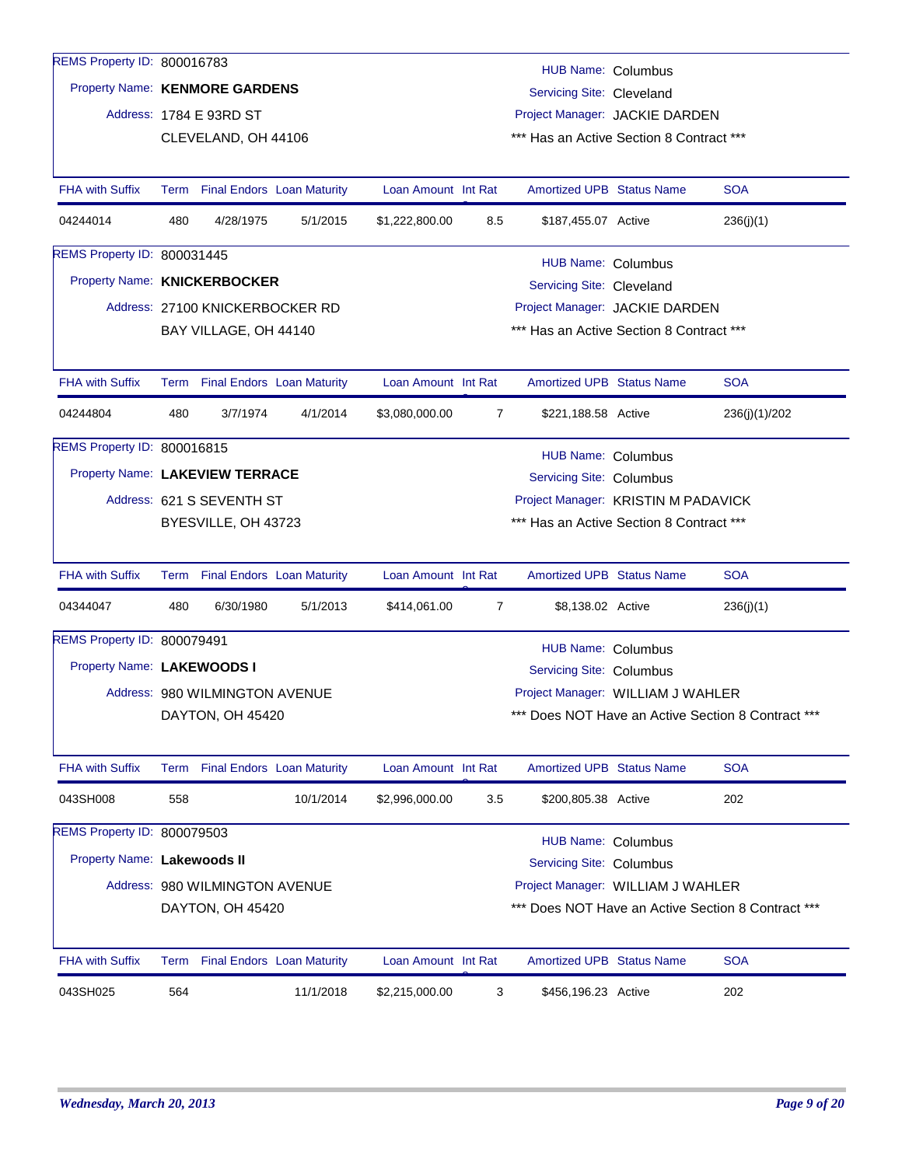| 043SH025                        | 564  |                                                                                                             | 11/1/2018 | \$2,215,000.00      | 3              | \$456,196.23 Active                                                        |  | 202                                                |
|---------------------------------|------|-------------------------------------------------------------------------------------------------------------|-----------|---------------------|----------------|----------------------------------------------------------------------------|--|----------------------------------------------------|
| <b>FHA with Suffix</b>          |      | Term Final Endors Loan Maturity                                                                             |           | Loan Amount Int Rat |                | <b>Amortized UPB Status Name</b>                                           |  | <b>SOA</b>                                         |
|                                 |      | Project Manager: WILLIAM J WAHLER<br>*** Does NOT Have an Active Section 8 Contract ***<br>DAYTON, OH 45420 |           |                     |                |                                                                            |  |                                                    |
|                                 |      | Address: 980 WILMINGTON AVENUE                                                                              |           |                     |                |                                                                            |  |                                                    |
| Property Name: Lakewoods II     |      |                                                                                                             |           |                     |                | <b>HUB Name: Columbus</b><br><b>Servicing Site: Columbus</b>               |  |                                                    |
| REMS Property ID: 800079503     |      |                                                                                                             |           |                     |                |                                                                            |  |                                                    |
| 043SH008                        | 558  |                                                                                                             | 10/1/2014 | \$2,996,000.00      | 3.5            | \$200,805.38 Active                                                        |  | 202                                                |
| FHA with Suffix                 |      | Term Final Endors Loan Maturity                                                                             |           | Loan Amount Int Rat |                | <b>Amortized UPB Status Name</b>                                           |  | <b>SOA</b>                                         |
|                                 |      | DAYTON, OH 45420                                                                                            |           |                     |                |                                                                            |  | *** Does NOT Have an Active Section 8 Contract *** |
|                                 |      | Address: 980 WILMINGTON AVENUE                                                                              |           |                     |                | Project Manager: WILLIAM J WAHLER                                          |  |                                                    |
| Property Name: LAKEWOODS I      |      |                                                                                                             |           |                     |                | <b>Servicing Site: Columbus</b>                                            |  |                                                    |
| REMS Property ID: 800079491     |      |                                                                                                             |           |                     |                | <b>HUB Name: Columbus</b>                                                  |  |                                                    |
| 04344047                        | 480  | 6/30/1980                                                                                                   | 5/1/2013  | \$414,061.00        | $\overline{7}$ | \$8,138.02 Active                                                          |  | 236(j)(1)                                          |
| <b>FHA with Suffix</b>          | Term | <b>Final Endors Loan Maturity</b>                                                                           |           | Loan Amount Int Rat |                | <b>Amortized UPB Status Name</b>                                           |  | <b>SOA</b>                                         |
|                                 |      | BYESVILLE, OH 43723                                                                                         |           |                     |                | *** Has an Active Section 8 Contract ***                                   |  |                                                    |
|                                 |      | Address: 621 S SEVENTH ST                                                                                   |           |                     |                | Project Manager: KRISTIN M PADAVICK                                        |  |                                                    |
| Property Name: LAKEVIEW TERRACE |      |                                                                                                             |           |                     |                | <b>Servicing Site: Columbus</b>                                            |  |                                                    |
| REMS Property ID: 800016815     |      |                                                                                                             |           |                     |                | <b>HUB Name: Columbus</b>                                                  |  |                                                    |
| 04244804                        | 480  | 3/7/1974                                                                                                    | 4/1/2014  | \$3,080,000.00      | $\overline{7}$ | \$221,188.58 Active                                                        |  | 236(j)(1)/202                                      |
| <b>FHA with Suffix</b>          |      | Term Final Endors Loan Maturity                                                                             |           | Loan Amount Int Rat |                | <b>Amortized UPB Status Name</b>                                           |  | <b>SOA</b>                                         |
|                                 |      |                                                                                                             |           |                     |                |                                                                            |  |                                                    |
|                                 |      | BAY VILLAGE, OH 44140                                                                                       |           |                     |                | *** Has an Active Section 8 Contract ***                                   |  |                                                    |
|                                 |      | Address: 27100 KNICKERBOCKER RD                                                                             |           |                     |                | Project Manager: JACKIE DARDEN                                             |  |                                                    |
| Property Name: KNICKERBOCKER    |      |                                                                                                             |           |                     |                | <b>HUB Name: Columbus</b><br>Servicing Site: Cleveland                     |  |                                                    |
| REMS Property ID: 800031445     |      |                                                                                                             |           |                     |                |                                                                            |  |                                                    |
| 04244014                        | 480  | 4/28/1975                                                                                                   | 5/1/2015  | \$1,222,800.00      | 8.5            | \$187,455.07 Active                                                        |  | 236(j)(1)                                          |
| <b>FHA with Suffix</b>          |      | Term Final Endors Loan Maturity                                                                             |           | Loan Amount Int Rat |                | <b>Amortized UPB Status Name</b>                                           |  | <b>SOA</b>                                         |
|                                 |      |                                                                                                             |           |                     |                |                                                                            |  |                                                    |
|                                 |      | Address: 1784 E 93RD ST<br>CLEVELAND, OH 44106                                                              |           |                     |                | Project Manager: JACKIE DARDEN<br>*** Has an Active Section 8 Contract *** |  |                                                    |
| Property Name: KENMORE GARDENS  |      |                                                                                                             |           |                     |                | Servicing Site: Cleveland                                                  |  |                                                    |
|                                 |      |                                                                                                             |           |                     |                | <b>HUB Name: Columbus</b>                                                  |  |                                                    |
| REMS Property ID: 800016783     |      |                                                                                                             |           |                     |                |                                                                            |  |                                                    |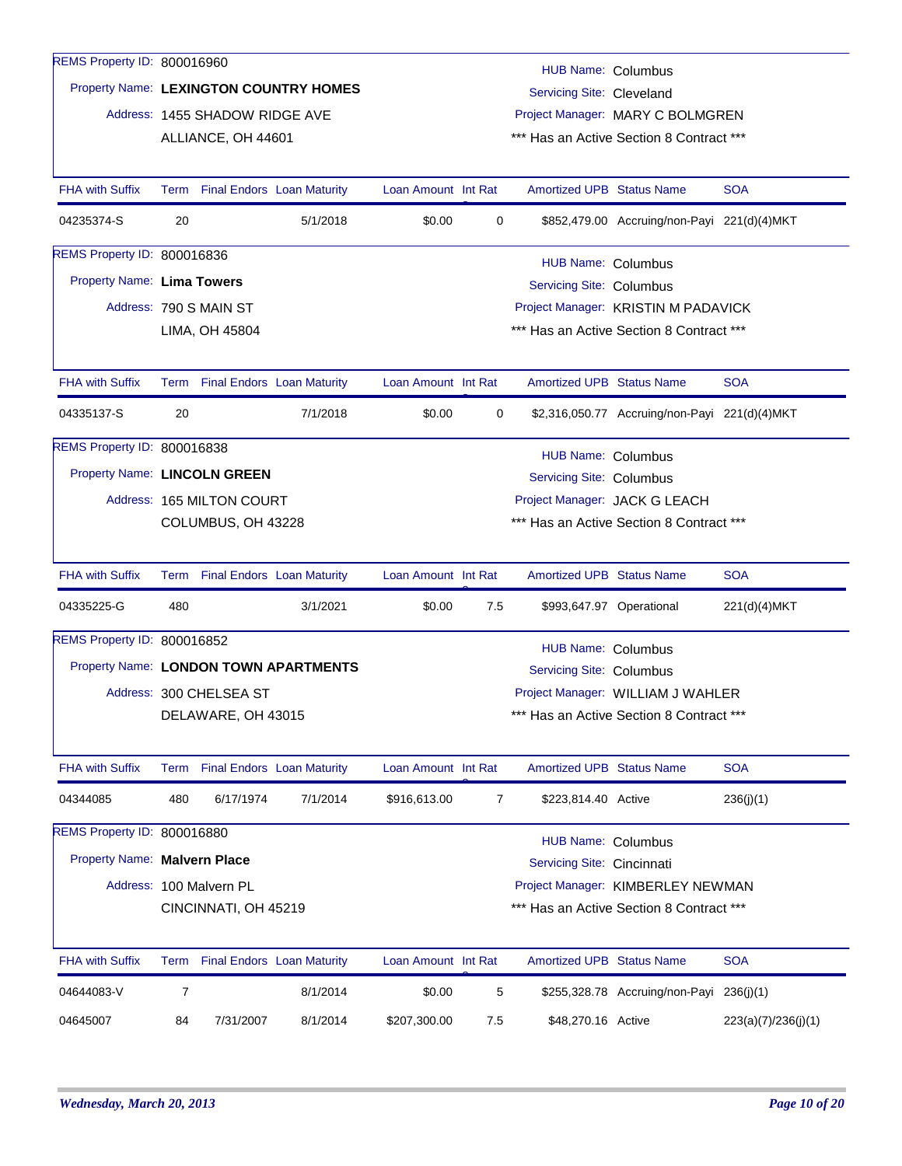| REMS Property ID: 800016960  |     |                                |                                        |                     |                | <b>HUB Name: Columbus</b>                               |                                               |                     |
|------------------------------|-----|--------------------------------|----------------------------------------|---------------------|----------------|---------------------------------------------------------|-----------------------------------------------|---------------------|
|                              |     |                                | Property Name: LEXINGTON COUNTRY HOMES |                     |                | Servicing Site: Cleveland                               |                                               |                     |
|                              |     | Address: 1455 SHADOW RIDGE AVE |                                        |                     |                |                                                         | Project Manager: MARY C BOLMGREN              |                     |
|                              |     | ALLIANCE, OH 44601             |                                        |                     |                |                                                         | *** Has an Active Section 8 Contract ***      |                     |
|                              |     |                                |                                        |                     |                |                                                         |                                               |                     |
| <b>FHA with Suffix</b>       |     |                                | Term Final Endors Loan Maturity        | Loan Amount Int Rat |                | <b>Amortized UPB Status Name</b>                        |                                               | <b>SOA</b>          |
| 04235374-S                   | 20  |                                | 5/1/2018                               | \$0.00              | 0              |                                                         | \$852,479.00 Accruing/non-Payi 221(d)(4)MKT   |                     |
| REMS Property ID: 800016836  |     |                                |                                        |                     |                | <b>HUB Name: Columbus</b>                               |                                               |                     |
| Property Name: Lima Towers   |     |                                |                                        |                     |                | <b>Servicing Site: Columbus</b>                         |                                               |                     |
|                              |     | Address: 790 S MAIN ST         |                                        |                     |                |                                                         | Project Manager: KRISTIN M PADAVICK           |                     |
|                              |     | LIMA, OH 45804                 |                                        |                     |                |                                                         | *** Has an Active Section 8 Contract ***      |                     |
|                              |     |                                |                                        |                     |                |                                                         |                                               |                     |
| <b>FHA with Suffix</b>       |     |                                | Term Final Endors Loan Maturity        | Loan Amount Int Rat |                | <b>Amortized UPB Status Name</b>                        |                                               | <b>SOA</b>          |
| 04335137-S                   | 20  |                                | 7/1/2018                               | \$0.00              | 0              |                                                         | \$2,316,050.77 Accruing/non-Payi 221(d)(4)MKT |                     |
| REMS Property ID: 800016838  |     |                                |                                        |                     |                | <b>HUB Name: Columbus</b>                               |                                               |                     |
| Property Name: LINCOLN GREEN |     |                                |                                        |                     |                | <b>Servicing Site: Columbus</b>                         |                                               |                     |
|                              |     | Address: 165 MILTON COURT      |                                        |                     |                |                                                         | Project Manager: JACK G LEACH                 |                     |
|                              |     | COLUMBUS, OH 43228             |                                        |                     |                |                                                         | *** Has an Active Section 8 Contract ***      |                     |
|                              |     |                                |                                        |                     |                |                                                         |                                               |                     |
| <b>FHA with Suffix</b>       |     |                                | Term Final Endors Loan Maturity        | Loan Amount Int Rat |                | <b>Amortized UPB Status Name</b>                        |                                               | <b>SOA</b>          |
| 04335225-G                   | 480 |                                | 3/1/2021                               | \$0.00              | 7.5            |                                                         | \$993,647.97 Operational                      | 221(d)(4)MKT        |
| REMS Property ID: 800016852  |     |                                |                                        |                     |                | <b>HUB Name: Columbus</b>                               |                                               |                     |
|                              |     |                                | Property Name: LONDON TOWN APARTMENTS  |                     |                | <b>Servicing Site: Columbus</b>                         |                                               |                     |
|                              |     | Address: 300 CHELSEA ST        |                                        |                     |                |                                                         | Project Manager: WILLIAM J WAHLER             |                     |
|                              |     | DELAWARE, OH 43015             |                                        |                     |                |                                                         | *** Has an Active Section 8 Contract ***      |                     |
|                              |     |                                |                                        |                     |                |                                                         |                                               |                     |
| <b>FHA with Suffix</b>       |     |                                | Term Final Endors Loan Maturity        | Loan Amount Int Rat |                | <b>Amortized UPB Status Name</b>                        |                                               | <b>SOA</b>          |
| 04344085                     | 480 | 6/17/1974                      | 7/1/2014                               | \$916,613.00        | $\overline{7}$ | \$223,814.40 Active                                     |                                               | 236(j)(1)           |
| REMS Property ID: 800016880  |     |                                |                                        |                     |                |                                                         |                                               |                     |
| Property Name: Malvern Place |     |                                |                                        |                     |                | <b>HUB Name: Columbus</b><br>Servicing Site: Cincinnati |                                               |                     |
|                              |     |                                |                                        |                     |                |                                                         |                                               |                     |
|                              |     | Address: 100 Malvern PL        |                                        |                     |                |                                                         | Project Manager: KIMBERLEY NEWMAN             |                     |
|                              |     | CINCINNATI, OH 45219           |                                        |                     |                |                                                         | *** Has an Active Section 8 Contract ***      |                     |
| FHA with Suffix              |     |                                | Term Final Endors Loan Maturity        | Loan Amount Int Rat |                | Amortized UPB Status Name                               |                                               | <b>SOA</b>          |
| 04644083-V                   | 7   |                                | 8/1/2014                               | \$0.00              | 5              |                                                         | \$255,328.78 Accruing/non-Payi 236(j)(1)      |                     |
| 04645007                     | 84  | 7/31/2007                      | 8/1/2014                               | \$207,300.00        | 7.5            | \$48,270.16 Active                                      |                                               | 223(a)(7)/236(j)(1) |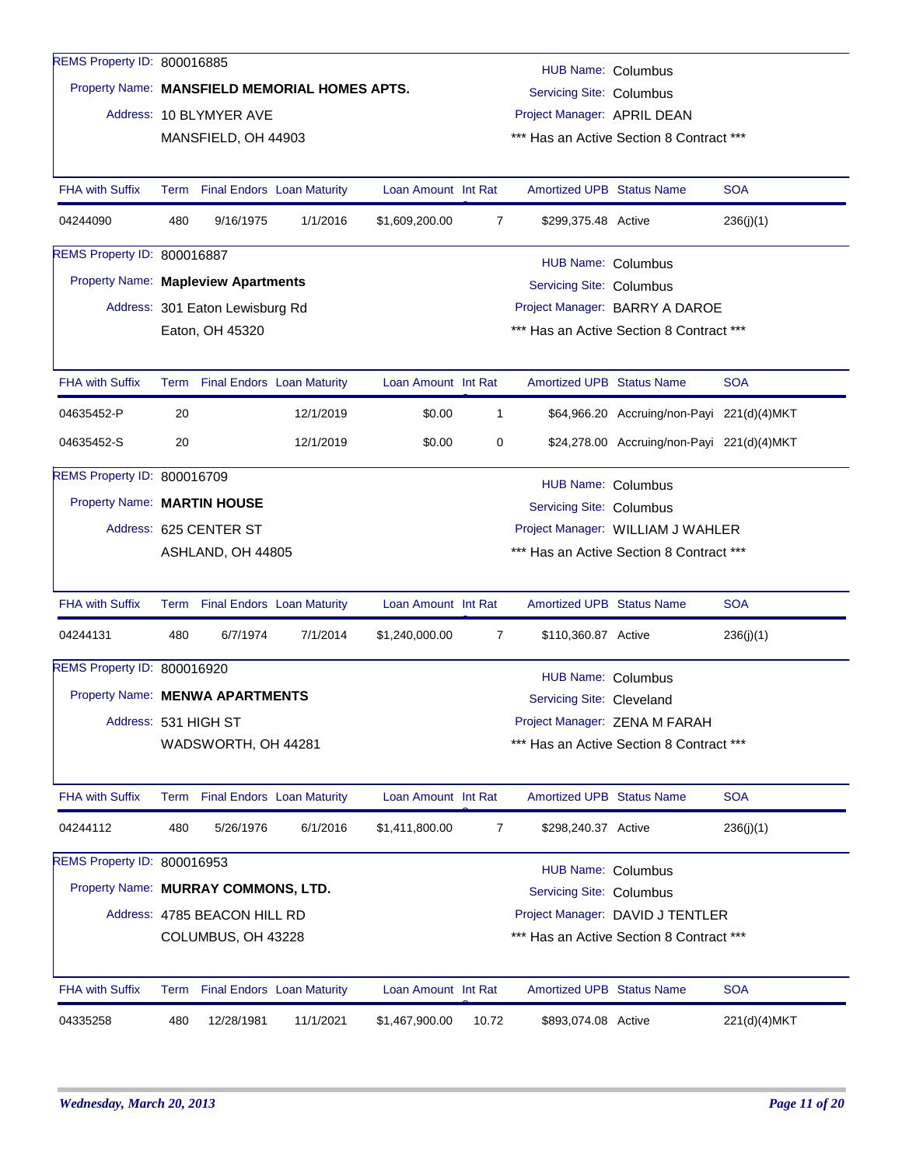| REMS Property ID: 800016885                   |                                                                |                                 |                                 |                           |                |                                                              |                                            |              |  |  |
|-----------------------------------------------|----------------------------------------------------------------|---------------------------------|---------------------------------|---------------------------|----------------|--------------------------------------------------------------|--------------------------------------------|--------------|--|--|
| Property Name: MANSFIELD MEMORIAL HOMES APTS. |                                                                |                                 |                                 |                           |                | <b>HUB Name: Columbus</b><br><b>Servicing Site: Columbus</b> |                                            |              |  |  |
|                                               |                                                                | Address: 10 BLYMYER AVE         |                                 |                           |                | Project Manager: APRIL DEAN                                  |                                            |              |  |  |
|                                               |                                                                | MANSFIELD, OH 44903             |                                 |                           |                |                                                              | *** Has an Active Section 8 Contract ***   |              |  |  |
|                                               |                                                                |                                 |                                 |                           |                |                                                              |                                            |              |  |  |
| <b>FHA with Suffix</b>                        |                                                                |                                 | Term Final Endors Loan Maturity | Loan Amount Int Rat       |                | <b>Amortized UPB Status Name</b>                             |                                            | <b>SOA</b>   |  |  |
| 04244090                                      | 480                                                            | 9/16/1975                       | 1/1/2016                        | \$1,609,200.00            | 7              | \$299,375.48 Active                                          |                                            | 236(j)(1)    |  |  |
| REMS Property ID: 800016887                   |                                                                |                                 |                                 |                           |                | <b>HUB Name: Columbus</b>                                    |                                            |              |  |  |
| Property Name: Mapleview Apartments           |                                                                |                                 |                                 |                           |                | <b>Servicing Site: Columbus</b>                              |                                            |              |  |  |
|                                               |                                                                | Address: 301 Eaton Lewisburg Rd |                                 |                           |                | Project Manager: BARRY A DAROE                               |                                            |              |  |  |
|                                               |                                                                | Eaton, OH 45320                 |                                 |                           |                |                                                              | *** Has an Active Section 8 Contract ***   |              |  |  |
| <b>FHA with Suffix</b>                        |                                                                |                                 | Term Final Endors Loan Maturity | Loan Amount Int Rat       |                | <b>Amortized UPB Status Name</b>                             |                                            | <b>SOA</b>   |  |  |
| 04635452-P                                    | 20                                                             |                                 | 12/1/2019                       | \$0.00                    | $\mathbf{1}$   |                                                              | \$64,966.20 Accruing/non-Payi 221(d)(4)MKT |              |  |  |
| 04635452-S                                    | 20                                                             |                                 | 12/1/2019                       | \$0.00                    | 0              |                                                              | \$24,278.00 Accruing/non-Payi 221(d)(4)MKT |              |  |  |
| REMS Property ID: 800016709                   |                                                                |                                 |                                 | <b>HUB Name: Columbus</b> |                |                                                              |                                            |              |  |  |
| Property Name: MARTIN HOUSE                   |                                                                |                                 |                                 |                           |                | <b>Servicing Site: Columbus</b>                              |                                            |              |  |  |
|                                               |                                                                | Address: 625 CENTER ST          |                                 |                           |                |                                                              | Project Manager: WILLIAM J WAHLER          |              |  |  |
|                                               |                                                                | ASHLAND, OH 44805               |                                 |                           |                |                                                              | *** Has an Active Section 8 Contract ***   |              |  |  |
| <b>FHA with Suffix</b>                        |                                                                |                                 | Term Final Endors Loan Maturity | Loan Amount Int Rat       |                | Amortized UPB Status Name                                    |                                            | <b>SOA</b>   |  |  |
| 04244131                                      | 480                                                            | 6/7/1974                        | 7/1/2014                        | \$1,240,000.00            | 7              | \$110,360.87 Active                                          |                                            | 236(j)(1)    |  |  |
| REMS Property ID: 800016920                   |                                                                |                                 |                                 |                           |                | <b>HUB Name: Columbus</b>                                    |                                            |              |  |  |
| Property Name: MENWA APARTMENTS               |                                                                |                                 |                                 |                           |                | Servicing Site: Cleveland                                    |                                            |              |  |  |
| Address: 531 HIGH ST                          |                                                                |                                 |                                 |                           |                |                                                              | Project Manager: ZENA M FARAH              |              |  |  |
|                                               |                                                                | WADSWORTH, OH 44281             |                                 |                           |                |                                                              | *** Has an Active Section 8 Contract ***   |              |  |  |
| <b>FHA with Suffix</b>                        |                                                                |                                 | Term Final Endors Loan Maturity | Loan Amount Int Rat       |                | <b>Amortized UPB Status Name</b>                             |                                            | <b>SOA</b>   |  |  |
| 04244112                                      | 480                                                            | 5/26/1976                       | 6/1/2016                        | \$1,411,800.00            | $\overline{7}$ | \$298,240.37 Active                                          |                                            | 236(j)(1)    |  |  |
| REMS Property ID: 800016953                   |                                                                |                                 |                                 |                           |                | <b>HUB Name: Columbus</b>                                    |                                            |              |  |  |
| Property Name: MURRAY COMMONS, LTD.           |                                                                |                                 |                                 |                           |                | <b>Servicing Site: Columbus</b>                              |                                            |              |  |  |
|                                               |                                                                | Address: 4785 BEACON HILL RD    |                                 |                           |                |                                                              | Project Manager: DAVID J TENTLER           |              |  |  |
|                                               | *** Has an Active Section 8 Contract ***<br>COLUMBUS, OH 43228 |                                 |                                 |                           |                |                                                              |                                            |              |  |  |
| <b>FHA with Suffix</b>                        |                                                                |                                 | Term Final Endors Loan Maturity | Loan Amount Int Rat       |                | <b>Amortized UPB Status Name</b>                             |                                            | <b>SOA</b>   |  |  |
| 04335258                                      | 480                                                            | 12/28/1981                      | 11/1/2021                       | \$1,467,900.00            | 10.72          | \$893,074.08 Active                                          |                                            | 221(d)(4)MKT |  |  |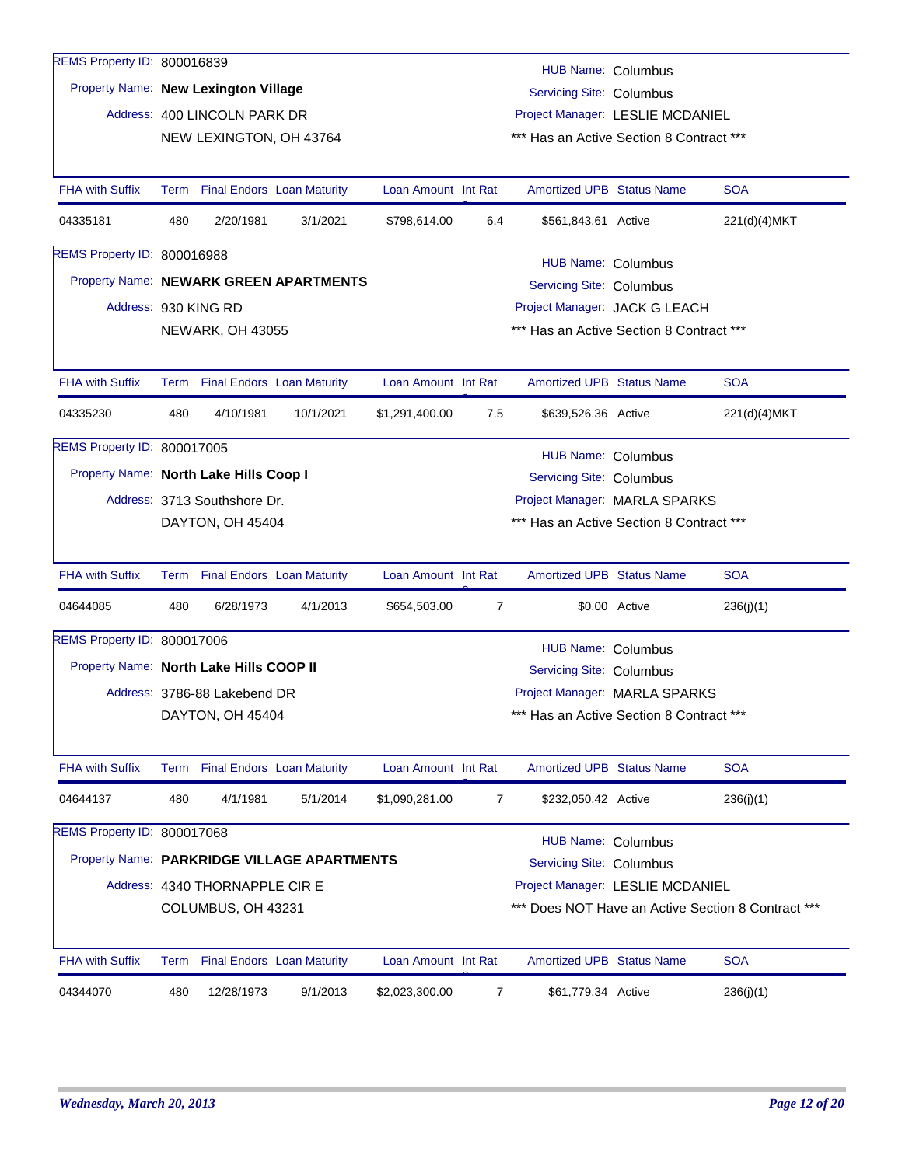| REMS Property ID: 800016839             |      |                                 |                                             |                     |     | HUB Name: Columbus                       |               |                                                    |
|-----------------------------------------|------|---------------------------------|---------------------------------------------|---------------------|-----|------------------------------------------|---------------|----------------------------------------------------|
| Property Name: New Lexington Village    |      |                                 |                                             |                     |     | <b>Servicing Site: Columbus</b>          |               |                                                    |
|                                         |      | Address: 400 LINCOLN PARK DR    |                                             |                     |     | Project Manager: LESLIE MCDANIEL         |               |                                                    |
|                                         |      | NEW LEXINGTON, OH 43764         |                                             |                     |     | *** Has an Active Section 8 Contract *** |               |                                                    |
|                                         |      |                                 |                                             |                     |     |                                          |               |                                                    |
| <b>FHA with Suffix</b>                  |      | Term Final Endors Loan Maturity |                                             | Loan Amount Int Rat |     | <b>Amortized UPB Status Name</b>         |               | <b>SOA</b>                                         |
| 04335181                                | 480  | 2/20/1981                       | 3/1/2021                                    | \$798,614.00        | 6.4 | \$561,843.61 Active                      |               | 221(d)(4)MKT                                       |
| REMS Property ID: 800016988             |      |                                 |                                             |                     |     | <b>HUB Name: Columbus</b>                |               |                                                    |
|                                         |      |                                 | Property Name: NEWARK GREEN APARTMENTS      |                     |     | <b>Servicing Site: Columbus</b>          |               |                                                    |
| Address: 930 KING RD                    |      |                                 |                                             |                     |     | Project Manager: JACK G LEACH            |               |                                                    |
|                                         |      | <b>NEWARK, OH 43055</b>         |                                             |                     |     | *** Has an Active Section 8 Contract *** |               |                                                    |
|                                         |      |                                 |                                             |                     |     |                                          |               |                                                    |
| <b>FHA with Suffix</b>                  |      | Term Final Endors Loan Maturity |                                             | Loan Amount Int Rat |     | <b>Amortized UPB Status Name</b>         |               | <b>SOA</b>                                         |
| 04335230                                | 480  | 4/10/1981                       | 10/1/2021                                   | \$1,291,400.00      | 7.5 | \$639,526.36 Active                      |               | 221(d)(4)MKT                                       |
| REMS Property ID: 800017005             |      |                                 |                                             |                     |     | <b>HUB Name: Columbus</b>                |               |                                                    |
| Property Name: North Lake Hills Coop I  |      |                                 |                                             |                     |     | <b>Servicing Site: Columbus</b>          |               |                                                    |
|                                         |      | Address: 3713 Southshore Dr.    |                                             |                     |     | Project Manager: MARLA SPARKS            |               |                                                    |
|                                         |      | DAYTON, OH 45404                |                                             |                     |     | *** Has an Active Section 8 Contract *** |               |                                                    |
|                                         |      |                                 |                                             |                     |     |                                          |               |                                                    |
| <b>FHA with Suffix</b>                  |      | Term Final Endors Loan Maturity |                                             | Loan Amount Int Rat |     | <b>Amortized UPB Status Name</b>         |               | <b>SOA</b>                                         |
| 04644085                                | 480  | 6/28/1973                       | 4/1/2013                                    | \$654,503.00        | 7   |                                          | \$0.00 Active | 236(j)(1)                                          |
| REMS Property ID: 800017006             |      |                                 |                                             |                     |     | <b>HUB Name: Columbus</b>                |               |                                                    |
| Property Name: North Lake Hills COOP II |      |                                 |                                             |                     |     | <b>Servicing Site: Columbus</b>          |               |                                                    |
|                                         |      | Address: 3786-88 Lakebend DR    |                                             |                     |     | Project Manager: MARLA SPARKS            |               |                                                    |
|                                         |      | DAYTON, OH 45404                |                                             |                     |     | *** Has an Active Section 8 Contract *** |               |                                                    |
|                                         |      |                                 |                                             |                     |     |                                          |               |                                                    |
| <b>FHA with Suffix</b>                  |      |                                 | Term Final Endors Loan Maturity             | Loan Amount Int Rat |     | <b>Amortized UPB Status Name</b>         |               | <b>SOA</b>                                         |
| 04644137                                | 480  | 4/1/1981                        | 5/1/2014                                    | \$1,090,281.00      | 7   | \$232,050.42 Active                      |               | 236(j)(1)                                          |
| REMS Property ID: 800017068             |      |                                 |                                             |                     |     | <b>HUB Name: Columbus</b>                |               |                                                    |
|                                         |      |                                 | Property Name: PARKRIDGE VILLAGE APARTMENTS |                     |     | <b>Servicing Site: Columbus</b>          |               |                                                    |
|                                         |      | Address: 4340 THORNAPPLE CIR E  |                                             |                     |     | Project Manager: LESLIE MCDANIEL         |               |                                                    |
|                                         |      | COLUMBUS, OH 43231              |                                             |                     |     |                                          |               | *** Does NOT Have an Active Section 8 Contract *** |
|                                         |      |                                 |                                             |                     |     |                                          |               |                                                    |
| <b>FHA with Suffix</b>                  | Term |                                 | <b>Final Endors</b> Loan Maturity           | Loan Amount Int Rat |     | <b>Amortized UPB Status Name</b>         |               | <b>SOA</b>                                         |
| 04344070                                | 480  | 12/28/1973                      | 9/1/2013                                    | \$2,023,300.00      | 7   | \$61,779.34 Active                       |               | 236(j)(1)                                          |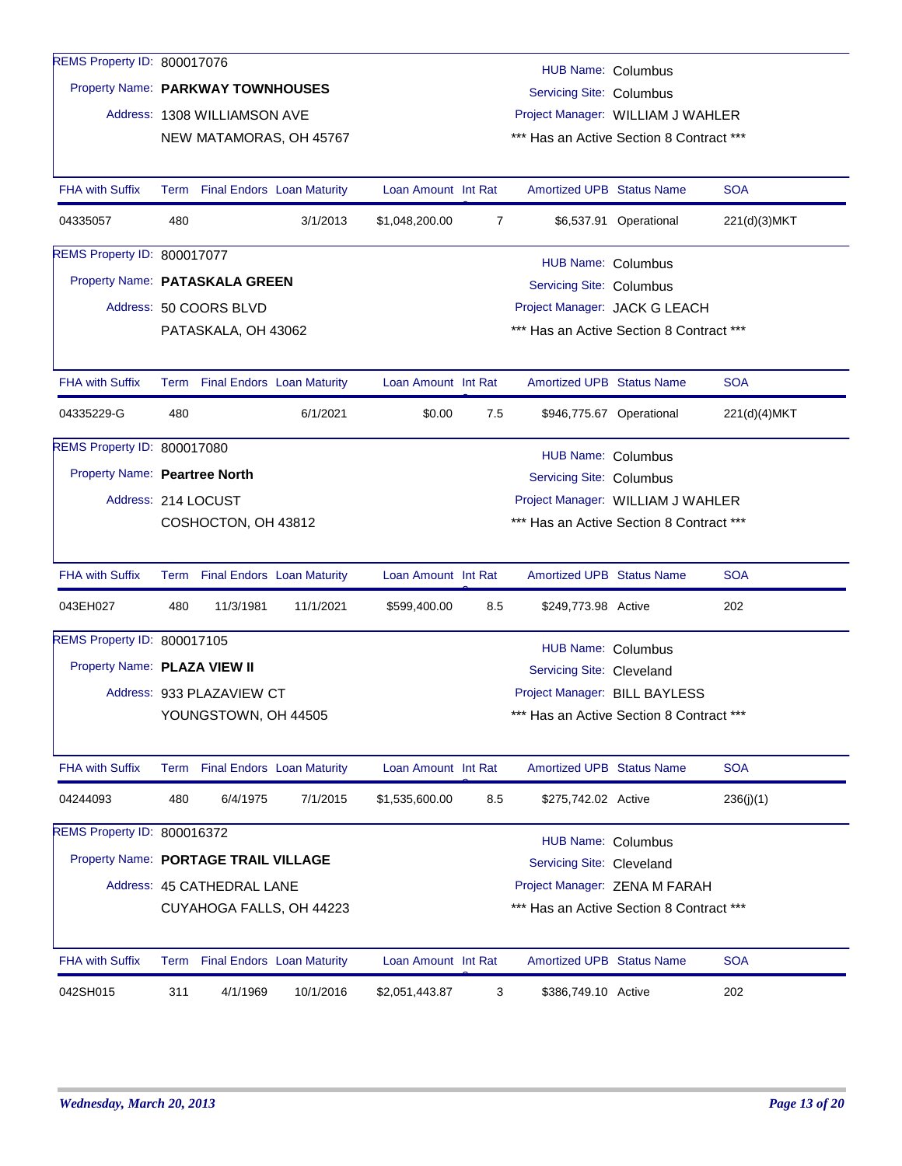| REMS Property ID: 800017076          |     |                                 |                                 |                     |     | <b>HUB Name: Columbus</b>                |                          |              |
|--------------------------------------|-----|---------------------------------|---------------------------------|---------------------|-----|------------------------------------------|--------------------------|--------------|
| Property Name: PARKWAY TOWNHOUSES    |     |                                 |                                 |                     |     | <b>Servicing Site: Columbus</b>          |                          |              |
|                                      |     | Address: 1308 WILLIAMSON AVE    |                                 |                     |     | Project Manager: WILLIAM J WAHLER        |                          |              |
|                                      |     |                                 | NEW MATAMORAS, OH 45767         |                     |     | *** Has an Active Section 8 Contract *** |                          |              |
|                                      |     |                                 |                                 |                     |     |                                          |                          |              |
| <b>FHA with Suffix</b>               |     | Term Final Endors Loan Maturity |                                 | Loan Amount Int Rat |     | <b>Amortized UPB Status Name</b>         |                          | <b>SOA</b>   |
| 04335057                             | 480 |                                 | 3/1/2013                        | \$1,048,200.00      | 7   |                                          | \$6,537.91 Operational   | 221(d)(3)MKT |
| REMS Property ID: 800017077          |     |                                 |                                 |                     |     | HUB Name: Columbus                       |                          |              |
| Property Name: PATASKALA GREEN       |     |                                 |                                 |                     |     | <b>Servicing Site: Columbus</b>          |                          |              |
|                                      |     | Address: 50 COORS BLVD          |                                 |                     |     | Project Manager: JACK G LEACH            |                          |              |
|                                      |     | PATASKALA, OH 43062             |                                 |                     |     | *** Has an Active Section 8 Contract *** |                          |              |
|                                      |     |                                 |                                 |                     |     |                                          |                          |              |
| <b>FHA with Suffix</b>               |     | Term Final Endors Loan Maturity |                                 | Loan Amount Int Rat |     | <b>Amortized UPB Status Name</b>         |                          | <b>SOA</b>   |
| 04335229-G                           | 480 |                                 | 6/1/2021                        | \$0.00              | 7.5 |                                          | \$946,775.67 Operational | 221(d)(4)MKT |
| REMS Property ID: 800017080          |     |                                 |                                 |                     |     | <b>HUB Name: Columbus</b>                |                          |              |
| Property Name: Peartree North        |     |                                 |                                 |                     |     | <b>Servicing Site: Columbus</b>          |                          |              |
| Address: 214 LOCUST                  |     |                                 |                                 |                     |     | Project Manager: WILLIAM J WAHLER        |                          |              |
|                                      |     | COSHOCTON, OH 43812             |                                 |                     |     | *** Has an Active Section 8 Contract *** |                          |              |
|                                      |     |                                 |                                 |                     |     |                                          |                          |              |
| <b>FHA with Suffix</b>               |     | Term Final Endors Loan Maturity |                                 | Loan Amount Int Rat |     | <b>Amortized UPB Status Name</b>         |                          | <b>SOA</b>   |
| 043EH027                             | 480 | 11/3/1981                       | 11/1/2021                       | \$599,400.00        | 8.5 | \$249,773.98 Active                      |                          | 202          |
| REMS Property ID: 800017105          |     |                                 |                                 |                     |     | <b>HUB Name: Columbus</b>                |                          |              |
| Property Name: PLAZA VIEW II         |     |                                 |                                 |                     |     | Servicing Site: Cleveland                |                          |              |
|                                      |     | Address: 933 PLAZAVIEW CT       |                                 |                     |     | Project Manager: BILL BAYLESS            |                          |              |
|                                      |     | YOUNGSTOWN, OH 44505            |                                 |                     |     | *** Has an Active Section 8 Contract *** |                          |              |
|                                      |     |                                 |                                 |                     |     |                                          |                          |              |
| <b>FHA with Suffix</b>               |     |                                 | Term Final Endors Loan Maturity | Loan Amount Int Rat |     | <b>Amortized UPB Status Name</b>         |                          | <b>SOA</b>   |
| 04244093                             | 480 | 6/4/1975                        | 7/1/2015                        | \$1,535,600.00      | 8.5 | \$275,742.02 Active                      |                          | 236(j)(1)    |
| REMS Property ID: 800016372          |     |                                 |                                 |                     |     | <b>HUB Name: Columbus</b>                |                          |              |
| Property Name: PORTAGE TRAIL VILLAGE |     |                                 |                                 |                     |     | Servicing Site: Cleveland                |                          |              |
|                                      |     | Address: 45 CATHEDRAL LANE      |                                 |                     |     | Project Manager: ZENA M FARAH            |                          |              |
|                                      |     |                                 | CUYAHOGA FALLS, OH 44223        |                     |     | *** Has an Active Section 8 Contract *** |                          |              |
|                                      |     |                                 |                                 |                     |     |                                          |                          |              |
| <b>FHA with Suffix</b>               |     | Term Final Endors Loan Maturity |                                 | Loan Amount Int Rat |     | Amortized UPB Status Name                |                          | <b>SOA</b>   |
| 042SH015                             | 311 | 4/1/1969                        | 10/1/2016                       | \$2,051,443.87      | 3   | \$386,749.10 Active                      |                          | 202          |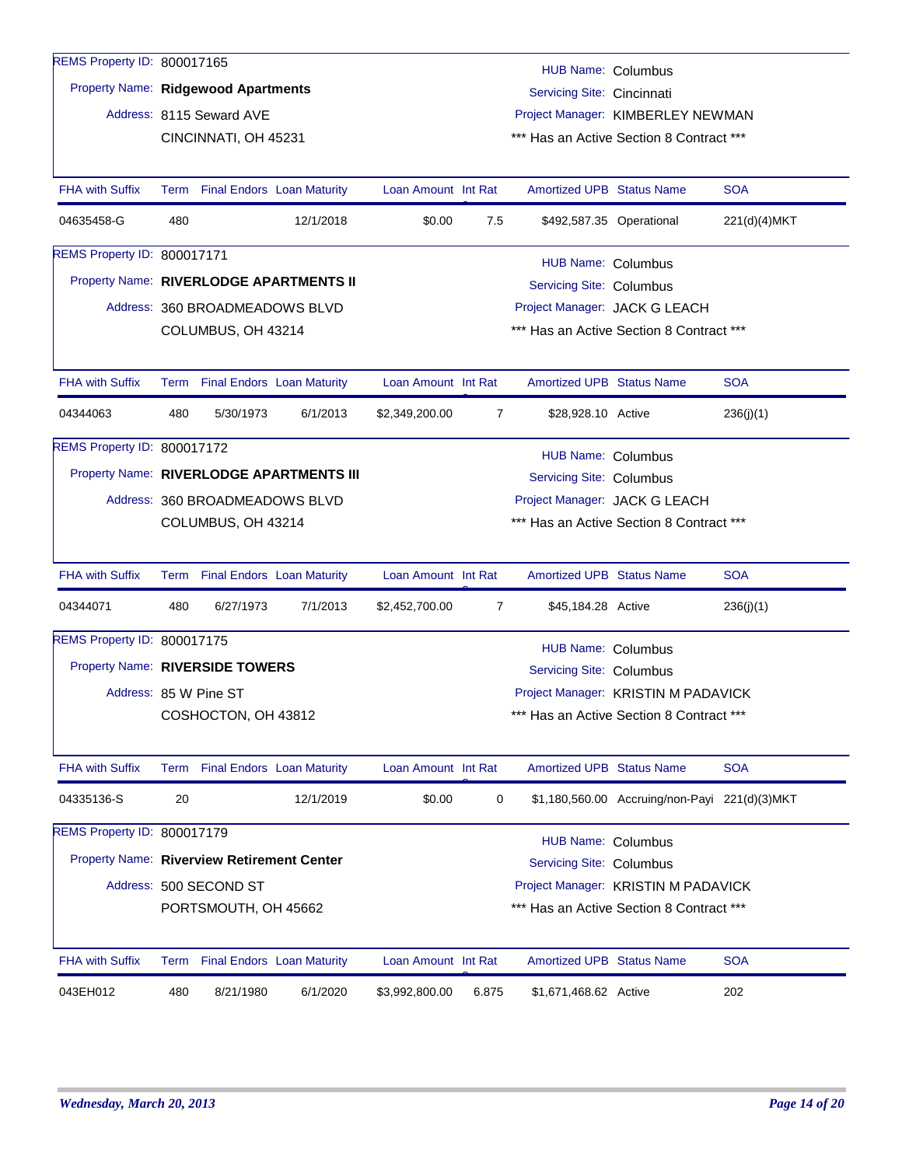| REMS Property ID: 800017165 |     |                                            |           |                     |                | HUB Name: Columbus               |                                               |              |
|-----------------------------|-----|--------------------------------------------|-----------|---------------------|----------------|----------------------------------|-----------------------------------------------|--------------|
|                             |     | Property Name: Ridgewood Apartments        |           |                     |                | Servicing Site: Cincinnati       |                                               |              |
|                             |     | Address: 8115 Seward AVE                   |           |                     |                |                                  | Project Manager: KIMBERLEY NEWMAN             |              |
|                             |     | CINCINNATI, OH 45231                       |           |                     |                |                                  | *** Has an Active Section 8 Contract ***      |              |
|                             |     |                                            |           |                     |                |                                  |                                               |              |
| <b>FHA with Suffix</b>      |     | Term Final Endors Loan Maturity            |           | Loan Amount Int Rat |                | <b>Amortized UPB Status Name</b> |                                               | <b>SOA</b>   |
| 04635458-G                  | 480 |                                            | 12/1/2018 | \$0.00              | 7.5            | \$492,587.35 Operational         |                                               | 221(d)(4)MKT |
| REMS Property ID: 800017171 |     |                                            |           |                     |                | HUB Name: Columbus               |                                               |              |
|                             |     | Property Name: RIVERLODGE APARTMENTS II    |           |                     |                | <b>Servicing Site: Columbus</b>  |                                               |              |
|                             |     | Address: 360 BROADMEADOWS BLVD             |           |                     |                |                                  | Project Manager: JACK G LEACH                 |              |
|                             |     | COLUMBUS, OH 43214                         |           |                     |                |                                  | *** Has an Active Section 8 Contract ***      |              |
|                             |     |                                            |           |                     |                |                                  |                                               |              |
| <b>FHA with Suffix</b>      |     | Term Final Endors Loan Maturity            |           | Loan Amount Int Rat |                | <b>Amortized UPB Status Name</b> |                                               | <b>SOA</b>   |
| 04344063                    | 480 | 5/30/1973                                  | 6/1/2013  | \$2,349,200.00      | $\overline{7}$ | \$28,928.10 Active               |                                               | 236(j)(1)    |
| REMS Property ID: 800017172 |     |                                            |           |                     |                | <b>HUB Name: Columbus</b>        |                                               |              |
|                             |     | Property Name: RIVERLODGE APARTMENTS III   |           |                     |                | <b>Servicing Site: Columbus</b>  |                                               |              |
|                             |     | Address: 360 BROADMEADOWS BLVD             |           |                     |                |                                  | Project Manager: JACK G LEACH                 |              |
|                             |     | COLUMBUS, OH 43214                         |           |                     |                |                                  | *** Has an Active Section 8 Contract ***      |              |
|                             |     |                                            |           |                     |                |                                  |                                               |              |
| <b>FHA with Suffix</b>      |     | Term Final Endors Loan Maturity            |           | Loan Amount Int Rat |                | <b>Amortized UPB Status Name</b> |                                               | <b>SOA</b>   |
| 04344071                    | 480 | 6/27/1973                                  | 7/1/2013  | \$2,452,700.00      | 7              | \$45,184.28 Active               |                                               | 236(j)(1)    |
| REMS Property ID: 800017175 |     |                                            |           |                     |                | <b>HUB Name: Columbus</b>        |                                               |              |
|                             |     | Property Name: RIVERSIDE TOWERS            |           |                     |                | <b>Servicing Site: Columbus</b>  |                                               |              |
|                             |     | Address: 85 W Pine ST                      |           |                     |                |                                  | Project Manager: KRISTIN M PADAVICK           |              |
|                             |     | COSHOCTON, OH 43812                        |           |                     |                |                                  | *** Has an Active Section 8 Contract ***      |              |
|                             |     |                                            |           |                     |                |                                  |                                               |              |
| <b>FHA with Suffix</b>      |     | Term Final Endors Loan Maturity            |           | Loan Amount Int Rat |                | <b>Amortized UPB Status Name</b> |                                               | <b>SOA</b>   |
| 04335136-S                  | 20  |                                            | 12/1/2019 | \$0.00              | 0              |                                  | \$1,180,560.00 Accruing/non-Payi 221(d)(3)MKT |              |
| REMS Property ID: 800017179 |     |                                            |           |                     |                | <b>HUB Name: Columbus</b>        |                                               |              |
|                             |     | Property Name: Riverview Retirement Center |           |                     |                | <b>Servicing Site: Columbus</b>  |                                               |              |
|                             |     | Address: 500 SECOND ST                     |           |                     |                |                                  | Project Manager: KRISTIN M PADAVICK           |              |
|                             |     | PORTSMOUTH, OH 45662                       |           |                     |                |                                  | *** Has an Active Section 8 Contract ***      |              |
|                             |     |                                            |           |                     |                |                                  |                                               |              |
| <b>FHA with Suffix</b>      |     | Term Final Endors Loan Maturity            |           | Loan Amount Int Rat |                | <b>Amortized UPB Status Name</b> |                                               | <b>SOA</b>   |
| 043EH012                    | 480 | 8/21/1980                                  | 6/1/2020  | \$3,992,800.00      | 6.875          | \$1,671,468.62 Active            |                                               | 202          |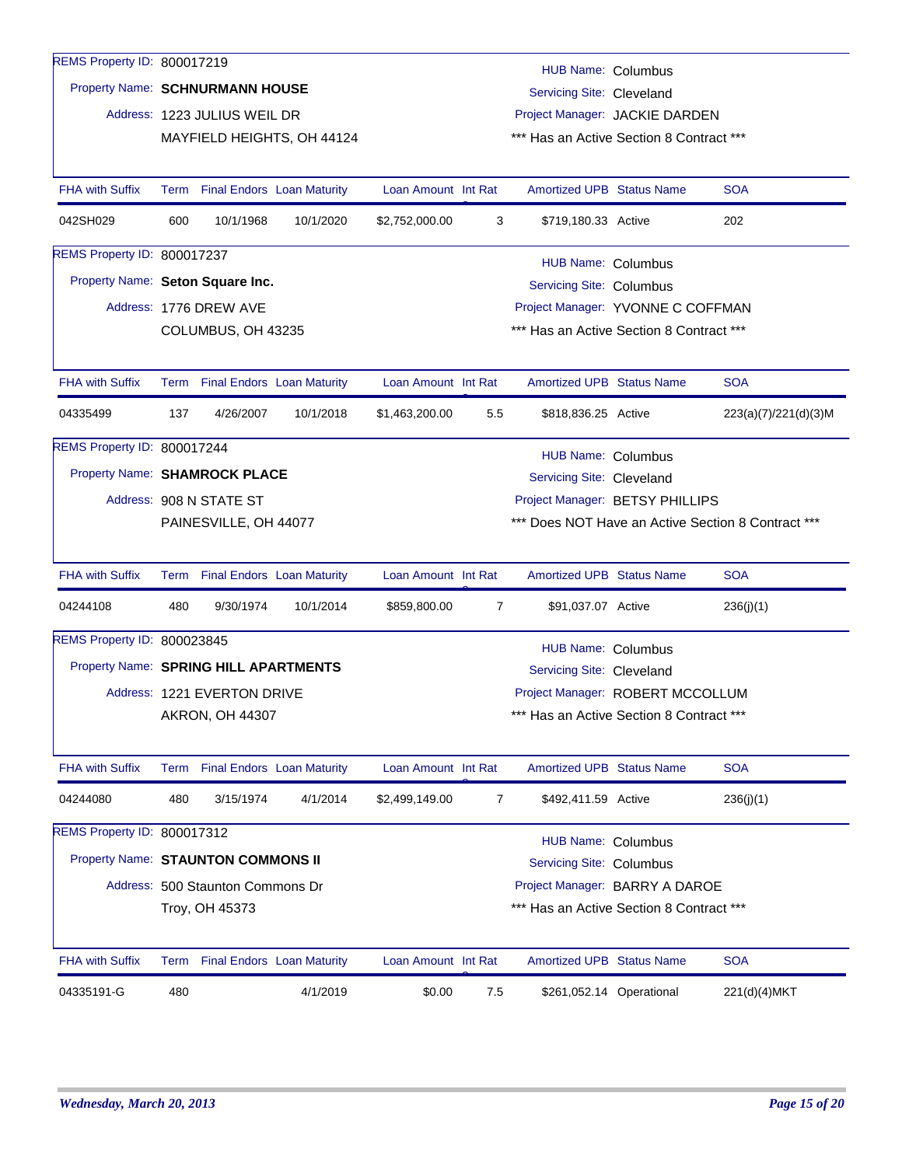| REMS Property ID: 800017219           |      |                                   |                            |                     |                | <b>HUB Name: Columbus</b>                |                          |                                                    |
|---------------------------------------|------|-----------------------------------|----------------------------|---------------------|----------------|------------------------------------------|--------------------------|----------------------------------------------------|
| Property Name: SCHNURMANN HOUSE       |      |                                   |                            |                     |                | Servicing Site: Cleveland                |                          |                                                    |
|                                       |      | Address: 1223 JULIUS WEIL DR      |                            |                     |                | Project Manager: JACKIE DARDEN           |                          |                                                    |
|                                       |      |                                   | MAYFIELD HEIGHTS, OH 44124 |                     |                | *** Has an Active Section 8 Contract *** |                          |                                                    |
|                                       |      |                                   |                            |                     |                |                                          |                          |                                                    |
| <b>FHA with Suffix</b>                |      | Term Final Endors Loan Maturity   |                            | Loan Amount Int Rat |                | <b>Amortized UPB Status Name</b>         |                          | <b>SOA</b>                                         |
| 042SH029                              | 600  | 10/1/1968                         | 10/1/2020                  | \$2,752,000.00      | 3              | \$719,180.33 Active                      |                          | 202                                                |
| REMS Property ID: 800017237           |      |                                   |                            |                     |                | HUB Name: Columbus                       |                          |                                                    |
| Property Name: Seton Square Inc.      |      |                                   |                            |                     |                | <b>Servicing Site: Columbus</b>          |                          |                                                    |
|                                       |      | Address: 1776 DREW AVE            |                            |                     |                | Project Manager: YVONNE C COFFMAN        |                          |                                                    |
|                                       |      | COLUMBUS, OH 43235                |                            |                     |                | *** Has an Active Section 8 Contract *** |                          |                                                    |
|                                       |      |                                   |                            |                     |                |                                          |                          |                                                    |
| <b>FHA with Suffix</b>                |      | Term Final Endors Loan Maturity   |                            | Loan Amount Int Rat |                | <b>Amortized UPB Status Name</b>         |                          | <b>SOA</b>                                         |
| 04335499                              | 137  | 4/26/2007                         | 10/1/2018                  | \$1,463,200.00      | 5.5            | \$818,836.25 Active                      |                          | 223(a)(7)/221(d)(3)M                               |
| REMS Property ID: 800017244           |      |                                   |                            |                     |                | <b>HUB Name: Columbus</b>                |                          |                                                    |
| Property Name: SHAMROCK PLACE         |      |                                   |                            |                     |                | Servicing Site: Cleveland                |                          |                                                    |
|                                       |      | Address: 908 N STATE ST           |                            |                     |                | Project Manager: BETSY PHILLIPS          |                          |                                                    |
|                                       |      | PAINESVILLE, OH 44077             |                            |                     |                |                                          |                          | *** Does NOT Have an Active Section 8 Contract *** |
|                                       |      |                                   |                            |                     |                |                                          |                          |                                                    |
| <b>FHA with Suffix</b>                | Term | <b>Final Endors Loan Maturity</b> |                            | Loan Amount Int Rat |                | <b>Amortized UPB Status Name</b>         |                          | <b>SOA</b>                                         |
| 04244108                              | 480  | 9/30/1974                         | 10/1/2014                  | \$859,800.00        | $\overline{7}$ | \$91,037.07 Active                       |                          | 236(j)(1)                                          |
| REMS Property ID: 800023845           |      |                                   |                            |                     |                | <b>HUB Name: Columbus</b>                |                          |                                                    |
| Property Name: SPRING HILL APARTMENTS |      |                                   |                            |                     |                | Servicing Site: Cleveland                |                          |                                                    |
|                                       |      | Address: 1221 EVERTON DRIVE       |                            |                     |                | Project Manager: ROBERT MCCOLLUM         |                          |                                                    |
|                                       |      | <b>AKRON, OH 44307</b>            |                            |                     |                | *** Has an Active Section 8 Contract *** |                          |                                                    |
|                                       |      |                                   |                            |                     |                |                                          |                          |                                                    |
| <b>FHA with Suffix</b>                |      | Term Final Endors Loan Maturity   |                            | Loan Amount Int Rat |                | <b>Amortized UPB Status Name</b>         |                          | <b>SOA</b>                                         |
| 04244080                              | 480  | 3/15/1974                         | 4/1/2014                   | \$2,499,149.00      | $\overline{7}$ | \$492,411.59 Active                      |                          | 236(j)(1)                                          |
| REMS Property ID: 800017312           |      |                                   |                            |                     |                | <b>HUB Name: Columbus</b>                |                          |                                                    |
| Property Name: STAUNTON COMMONS II    |      |                                   |                            |                     |                | <b>Servicing Site: Columbus</b>          |                          |                                                    |
|                                       |      | Address: 500 Staunton Commons Dr  |                            |                     |                | Project Manager: BARRY A DAROE           |                          |                                                    |
|                                       |      | Troy, OH 45373                    |                            |                     |                | *** Has an Active Section 8 Contract *** |                          |                                                    |
|                                       |      |                                   |                            |                     |                |                                          |                          |                                                    |
| <b>FHA with Suffix</b>                |      | Term Final Endors Loan Maturity   |                            | Loan Amount Int Rat |                | <b>Amortized UPB Status Name</b>         |                          | <b>SOA</b>                                         |
| 04335191-G                            | 480  |                                   | 4/1/2019                   | \$0.00              | 7.5            |                                          | \$261,052.14 Operational | 221(d)(4)MKT                                       |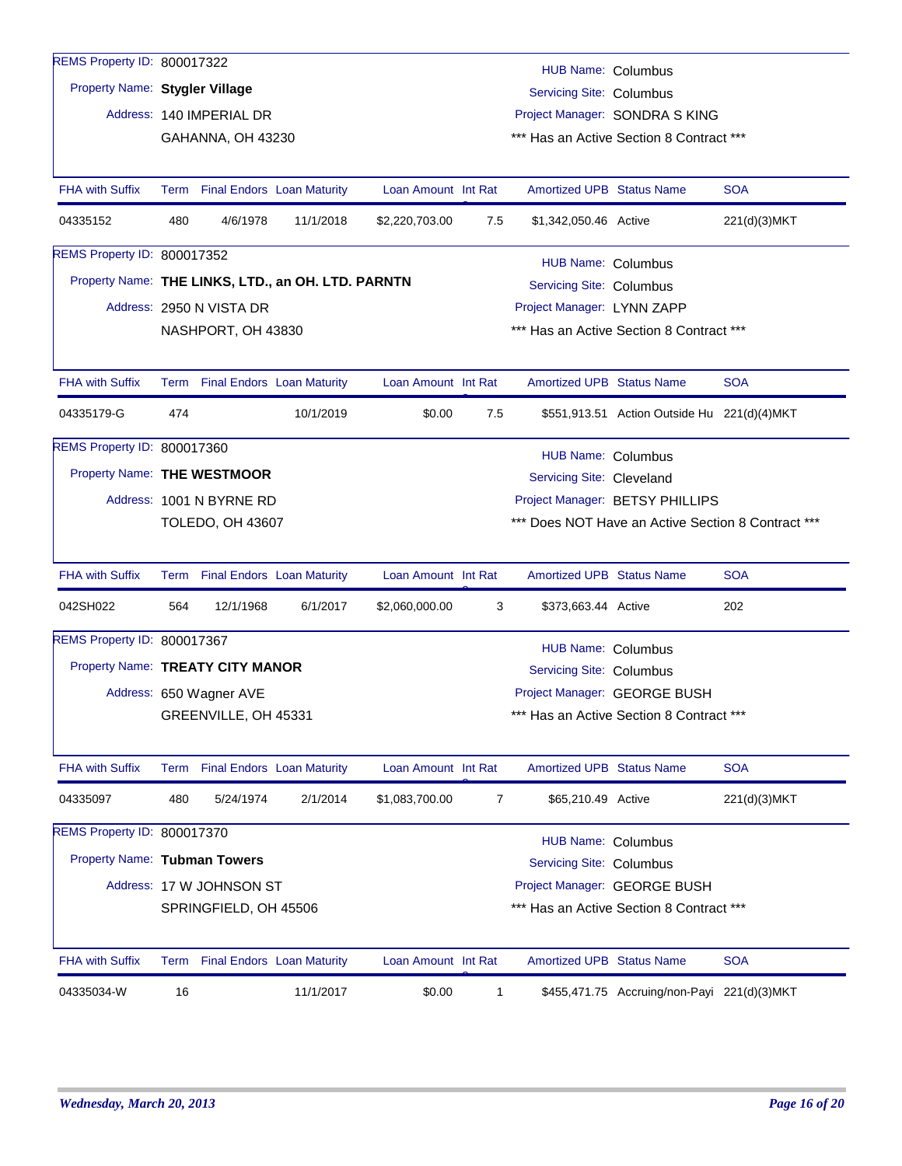| REMS Property ID: 800017322                        |     |                                 |           |                     |                | <b>HUB Name: Columbus</b>        |                                                    |              |
|----------------------------------------------------|-----|---------------------------------|-----------|---------------------|----------------|----------------------------------|----------------------------------------------------|--------------|
| Property Name: Stygler Village                     |     |                                 |           |                     |                | <b>Servicing Site: Columbus</b>  |                                                    |              |
|                                                    |     | Address: 140 IMPERIAL DR        |           |                     |                |                                  | Project Manager: SONDRA S KING                     |              |
|                                                    |     | GAHANNA, OH 43230               |           |                     |                |                                  | *** Has an Active Section 8 Contract ***           |              |
|                                                    |     |                                 |           |                     |                |                                  |                                                    |              |
| <b>FHA with Suffix</b>                             |     | Term Final Endors Loan Maturity |           | Loan Amount Int Rat |                | <b>Amortized UPB Status Name</b> |                                                    | <b>SOA</b>   |
| 04335152                                           | 480 | 4/6/1978                        | 11/1/2018 | \$2,220,703.00      | 7.5            | \$1,342,050.46 Active            |                                                    | 221(d)(3)MKT |
| REMS Property ID: 800017352                        |     |                                 |           |                     |                | <b>HUB Name: Columbus</b>        |                                                    |              |
| Property Name: THE LINKS, LTD., an OH. LTD. PARNTN |     |                                 |           |                     |                | <b>Servicing Site: Columbus</b>  |                                                    |              |
|                                                    |     | Address: 2950 N VISTA DR        |           |                     |                | Project Manager: LYNN ZAPP       |                                                    |              |
|                                                    |     | NASHPORT, OH 43830              |           |                     |                |                                  | *** Has an Active Section 8 Contract ***           |              |
|                                                    |     |                                 |           |                     |                |                                  |                                                    |              |
| <b>FHA with Suffix</b>                             |     | Term Final Endors Loan Maturity |           | Loan Amount Int Rat |                | <b>Amortized UPB Status Name</b> |                                                    | <b>SOA</b>   |
| 04335179-G                                         | 474 |                                 | 10/1/2019 | \$0.00              | 7.5            |                                  | \$551,913.51 Action Outside Hu 221(d)(4)MKT        |              |
| REMS Property ID: 800017360                        |     |                                 |           |                     |                | <b>HUB Name: Columbus</b>        |                                                    |              |
| Property Name: THE WESTMOOR                        |     |                                 |           |                     |                | Servicing Site: Cleveland        |                                                    |              |
|                                                    |     | Address: 1001 N BYRNE RD        |           |                     |                |                                  | Project Manager: BETSY PHILLIPS                    |              |
|                                                    |     | TOLEDO, OH 43607                |           |                     |                |                                  | *** Does NOT Have an Active Section 8 Contract *** |              |
|                                                    |     |                                 |           |                     |                |                                  |                                                    |              |
| <b>FHA with Suffix</b>                             |     | Term Final Endors Loan Maturity |           | Loan Amount Int Rat |                | <b>Amortized UPB Status Name</b> |                                                    | <b>SOA</b>   |
| 042SH022                                           | 564 | 12/1/1968                       | 6/1/2017  | \$2,060,000.00      | 3              | \$373,663.44 Active              |                                                    | 202          |
| REMS Property ID: 800017367                        |     |                                 |           |                     |                | <b>HUB Name: Columbus</b>        |                                                    |              |
| Property Name: TREATY CITY MANOR                   |     |                                 |           |                     |                | <b>Servicing Site: Columbus</b>  |                                                    |              |
|                                                    |     | Address: 650 Wagner AVE         |           |                     |                |                                  | Project Manager: GEORGE BUSH                       |              |
|                                                    |     | GREENVILLE, OH 45331            |           |                     |                |                                  | *** Has an Active Section 8 Contract ***           |              |
|                                                    |     |                                 |           |                     |                |                                  |                                                    |              |
| FHA with Suffix                                    |     | Term Final Endors Loan Maturity |           | Loan Amount Int Rat |                | <b>Amortized UPB Status Name</b> |                                                    | <b>SOA</b>   |
| 04335097                                           | 480 | 5/24/1974                       | 2/1/2014  | \$1,083,700.00      | $\overline{7}$ | \$65,210.49 Active               |                                                    | 221(d)(3)MKT |
| REMS Property ID: 800017370                        |     |                                 |           |                     |                | <b>HUB Name: Columbus</b>        |                                                    |              |
| Property Name: Tubman Towers                       |     |                                 |           |                     |                | <b>Servicing Site: Columbus</b>  |                                                    |              |
|                                                    |     | Address: 17 W JOHNSON ST        |           |                     |                |                                  | Project Manager: GEORGE BUSH                       |              |
|                                                    |     | SPRINGFIELD, OH 45506           |           |                     |                |                                  | *** Has an Active Section 8 Contract ***           |              |
|                                                    |     |                                 |           |                     |                |                                  |                                                    |              |
| <b>FHA with Suffix</b>                             |     | Term Final Endors Loan Maturity |           | Loan Amount Int Rat |                | <b>Amortized UPB Status Name</b> |                                                    | <b>SOA</b>   |
| 04335034-W                                         | 16  |                                 | 11/1/2017 | \$0.00              | $\mathbf{1}$   |                                  | \$455,471.75 Accruing/non-Payi 221(d)(3)MKT        |              |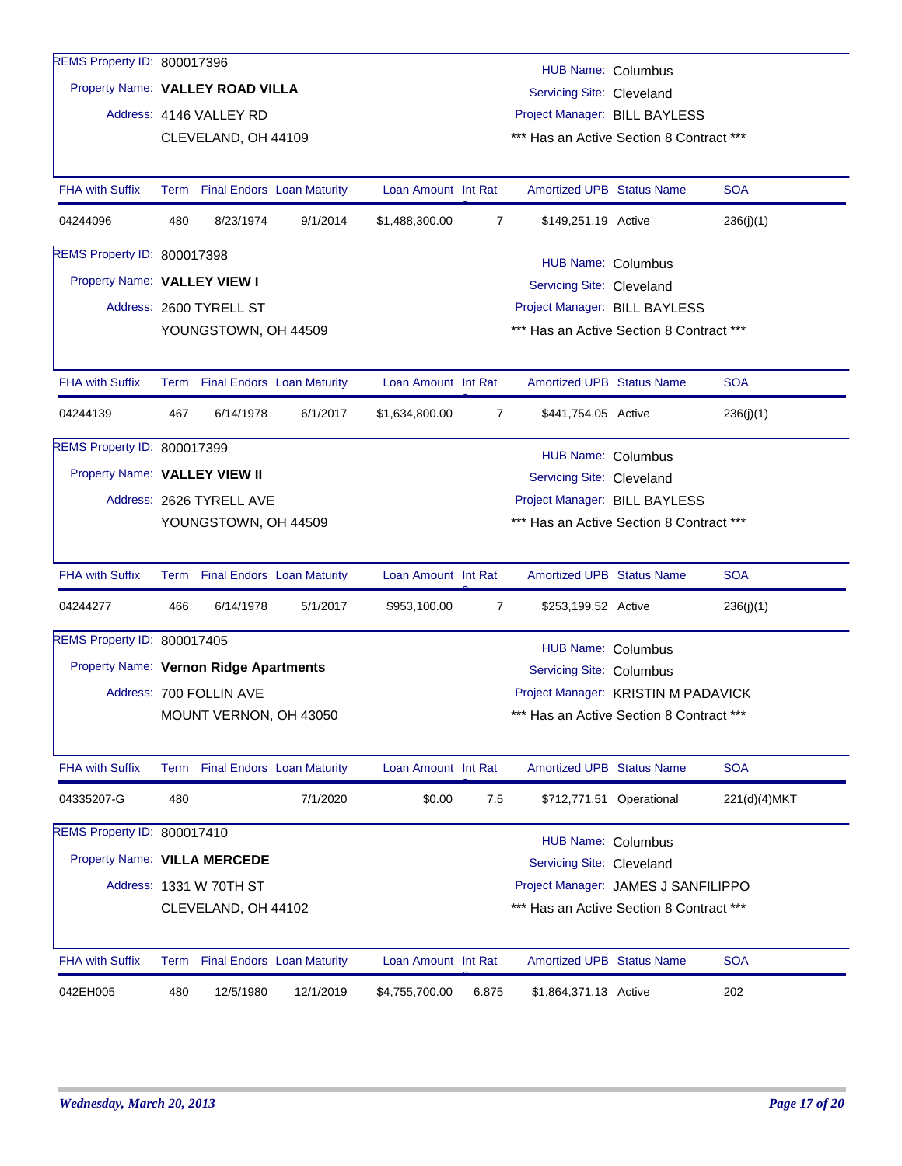| REMS Property ID: 800017396            |      |                          |                                   |                     |                | <b>HUB Name: Columbus</b>        |                                          |              |
|----------------------------------------|------|--------------------------|-----------------------------------|---------------------|----------------|----------------------------------|------------------------------------------|--------------|
| Property Name: VALLEY ROAD VILLA       |      |                          |                                   |                     |                | Servicing Site: Cleveland        |                                          |              |
|                                        |      | Address: 4146 VALLEY RD  |                                   |                     |                |                                  | Project Manager: BILL BAYLESS            |              |
|                                        |      | CLEVELAND, OH 44109      |                                   |                     |                |                                  | *** Has an Active Section 8 Contract *** |              |
| <b>FHA with Suffix</b>                 |      |                          | Term Final Endors Loan Maturity   | Loan Amount Int Rat |                | <b>Amortized UPB Status Name</b> |                                          | <b>SOA</b>   |
|                                        |      |                          |                                   |                     |                |                                  |                                          |              |
| 04244096                               | 480  | 8/23/1974                | 9/1/2014                          | \$1,488,300.00      | 7              | \$149,251.19 Active              |                                          | 236(j)(1)    |
| REMS Property ID: 800017398            |      |                          |                                   |                     |                | <b>HUB Name: Columbus</b>        |                                          |              |
| Property Name: VALLEY VIEW I           |      |                          |                                   |                     |                | Servicing Site: Cleveland        |                                          |              |
|                                        |      | Address: 2600 TYRELL ST  |                                   |                     |                |                                  | Project Manager: BILL BAYLESS            |              |
|                                        |      | YOUNGSTOWN, OH 44509     |                                   |                     |                |                                  | *** Has an Active Section 8 Contract *** |              |
| <b>FHA with Suffix</b>                 |      |                          |                                   | Loan Amount Int Rat |                | <b>Amortized UPB Status Name</b> |                                          | <b>SOA</b>   |
|                                        |      |                          | Term Final Endors Loan Maturity   |                     |                |                                  |                                          |              |
| 04244139                               | 467  | 6/14/1978                | 6/1/2017                          | \$1,634,800.00      | 7              | \$441,754.05 Active              |                                          | 236(j)(1)    |
| REMS Property ID: 800017399            |      |                          |                                   |                     |                | HUB Name: Columbus               |                                          |              |
| Property Name: VALLEY VIEW II          |      |                          |                                   |                     |                | Servicing Site: Cleveland        |                                          |              |
|                                        |      | Address: 2626 TYRELL AVE |                                   |                     |                |                                  | Project Manager: BILL BAYLESS            |              |
|                                        |      | YOUNGSTOWN, OH 44509     |                                   |                     |                |                                  | *** Has an Active Section 8 Contract *** |              |
| <b>FHA with Suffix</b>                 |      |                          | Term Final Endors Loan Maturity   | Loan Amount Int Rat |                | <b>Amortized UPB Status Name</b> |                                          | <b>SOA</b>   |
| 04244277                               | 466  | 6/14/1978                | 5/1/2017                          | \$953,100.00        | $\overline{7}$ | \$253,199.52 Active              |                                          | 236(j)(1)    |
| REMS Property ID: 800017405            |      |                          |                                   |                     |                | <b>HUB Name: Columbus</b>        |                                          |              |
| Property Name: Vernon Ridge Apartments |      |                          |                                   |                     |                | <b>Servicing Site: Columbus</b>  |                                          |              |
|                                        |      | Address: 700 FOLLIN AVE  |                                   |                     |                |                                  | Project Manager: KRISTIN M PADAVICK      |              |
|                                        |      | MOUNT VERNON, OH 43050   |                                   |                     |                |                                  | *** Has an Active Section 8 Contract *** |              |
| <b>FHA with Suffix</b>                 |      |                          | Term Final Endors Loan Maturity   | Loan Amount Int Rat |                | <b>Amortized UPB Status Name</b> |                                          | <b>SOA</b>   |
| 04335207-G                             | 480  |                          | 7/1/2020                          | \$0.00              | 7.5            |                                  | \$712,771.51 Operational                 | 221(d)(4)MKT |
| REMS Property ID: 800017410            |      |                          |                                   |                     |                | HUB Name: Columbus               |                                          |              |
| Property Name: VILLA MERCEDE           |      |                          |                                   |                     |                | Servicing Site: Cleveland        |                                          |              |
|                                        |      | Address: 1331 W 70TH ST  |                                   |                     |                |                                  | Project Manager: JAMES J SANFILIPPO      |              |
|                                        |      | CLEVELAND, OH 44102      |                                   |                     |                |                                  | *** Has an Active Section 8 Contract *** |              |
| <b>FHA with Suffix</b>                 | Term |                          | <b>Final Endors Loan Maturity</b> | Loan Amount Int Rat |                | Amortized UPB Status Name        |                                          | <b>SOA</b>   |
| 042EH005                               | 480  | 12/5/1980                | 12/1/2019                         | \$4,755,700.00      | 6.875          | \$1,864,371.13 Active            |                                          | 202          |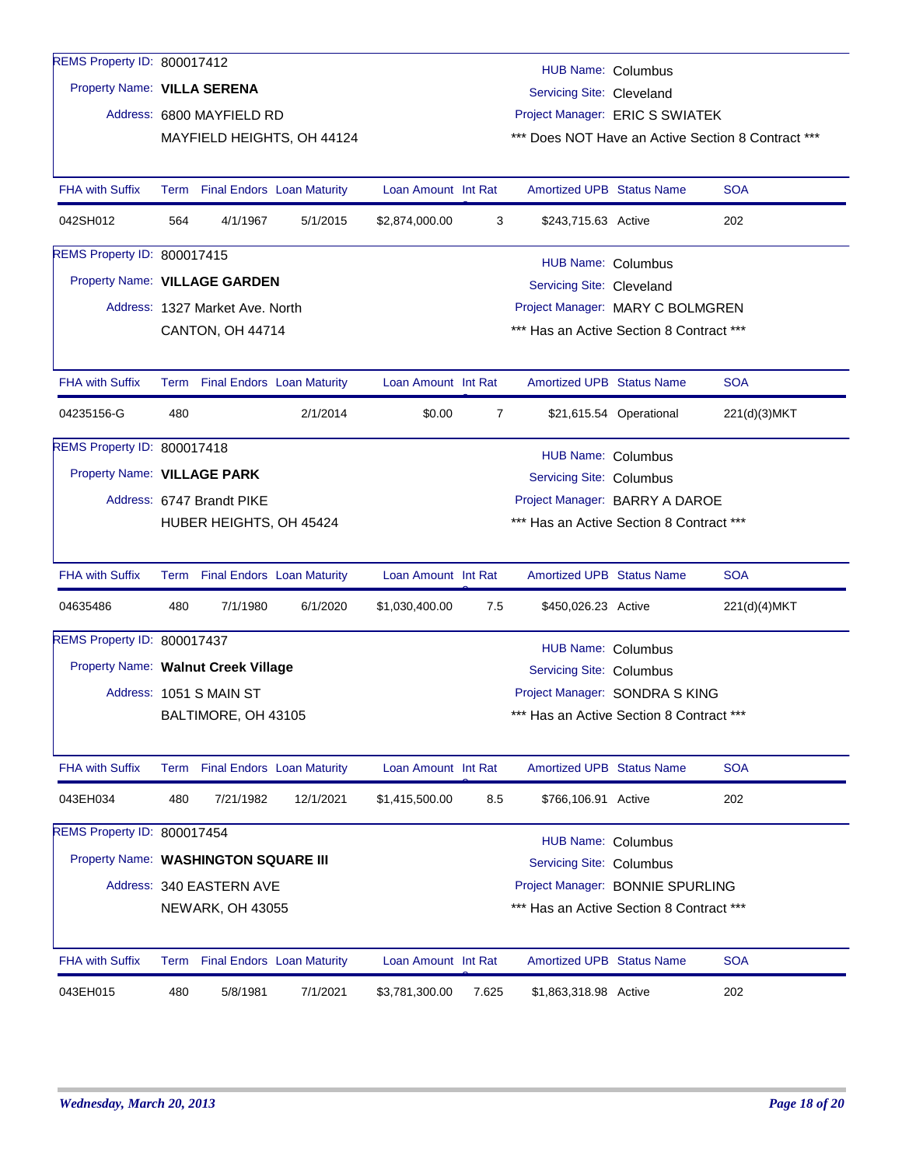| REMS Property ID: 800017412          |     |                                 |                            |                     |                | HUB Name: Columbus                                           |                         |                                                    |
|--------------------------------------|-----|---------------------------------|----------------------------|---------------------|----------------|--------------------------------------------------------------|-------------------------|----------------------------------------------------|
| Property Name: VILLA SERENA          |     |                                 |                            |                     |                | Servicing Site: Cleveland                                    |                         |                                                    |
|                                      |     | Address: 6800 MAYFIELD RD       |                            |                     |                | Project Manager: ERIC S SWIATEK                              |                         |                                                    |
|                                      |     |                                 | MAYFIELD HEIGHTS, OH 44124 |                     |                |                                                              |                         | *** Does NOT Have an Active Section 8 Contract *** |
| <b>FHA with Suffix</b>               |     | Term Final Endors Loan Maturity |                            | Loan Amount Int Rat |                | <b>Amortized UPB Status Name</b>                             |                         | <b>SOA</b>                                         |
| 042SH012                             | 564 | 4/1/1967                        | 5/1/2015                   | \$2,874,000.00      | 3              | \$243,715.63 Active                                          |                         | 202                                                |
| REMS Property ID: 800017415          |     |                                 |                            |                     |                | <b>HUB Name: Columbus</b>                                    |                         |                                                    |
| Property Name: VILLAGE GARDEN        |     |                                 |                            |                     |                | Servicing Site: Cleveland                                    |                         |                                                    |
|                                      |     | Address: 1327 Market Ave. North |                            |                     |                | Project Manager: MARY C BOLMGREN                             |                         |                                                    |
|                                      |     | CANTON, OH 44714                |                            |                     |                | *** Has an Active Section 8 Contract ***                     |                         |                                                    |
|                                      |     |                                 |                            |                     |                |                                                              |                         |                                                    |
| <b>FHA with Suffix</b>               |     | Term Final Endors Loan Maturity |                            | Loan Amount Int Rat |                | <b>Amortized UPB Status Name</b>                             |                         | <b>SOA</b>                                         |
| 04235156-G                           | 480 |                                 | 2/1/2014                   | \$0.00              | $\overline{7}$ |                                                              | \$21,615.54 Operational | 221(d)(3)MKT                                       |
| REMS Property ID: 800017418          |     |                                 |                            |                     |                | HUB Name: Columbus                                           |                         |                                                    |
| Property Name: VILLAGE PARK          |     |                                 |                            |                     |                | <b>Servicing Site: Columbus</b>                              |                         |                                                    |
|                                      |     | Address: 6747 Brandt PIKE       |                            |                     |                | Project Manager: BARRY A DAROE                               |                         |                                                    |
|                                      |     | HUBER HEIGHTS, OH 45424         |                            |                     |                | *** Has an Active Section 8 Contract ***                     |                         |                                                    |
| <b>FHA with Suffix</b>               |     | Term Final Endors Loan Maturity |                            | Loan Amount Int Rat |                | <b>Amortized UPB Status Name</b>                             |                         | <b>SOA</b>                                         |
| 04635486                             | 480 | 7/1/1980                        | 6/1/2020                   | \$1,030,400.00      | 7.5            | \$450,026.23 Active                                          |                         | 221(d)(4)MKT                                       |
| REMS Property ID: 800017437          |     |                                 |                            |                     |                | <b>HUB Name: Columbus</b>                                    |                         |                                                    |
| Property Name: Walnut Creek Village  |     |                                 |                            |                     |                | <b>Servicing Site: Columbus</b>                              |                         |                                                    |
|                                      |     | Address: 1051 S MAIN ST         |                            |                     |                | Project Manager: SONDRA S KING                               |                         |                                                    |
|                                      |     | BALTIMORE, OH 43105             |                            |                     |                | *** Has an Active Section 8 Contract ***                     |                         |                                                    |
| <b>FHA with Suffix</b>               |     | Term Final Endors Loan Maturity |                            | Loan Amount Int Rat |                | Amortized UPB Status Name                                    |                         | <b>SOA</b>                                         |
| 043EH034                             | 480 | 7/21/1982                       | 12/1/2021                  | \$1,415,500.00      | 8.5            | \$766,106.91 Active                                          |                         | 202                                                |
| REMS Property ID: 800017454          |     |                                 |                            |                     |                |                                                              |                         |                                                    |
| Property Name: WASHINGTON SQUARE III |     |                                 |                            |                     |                | <b>HUB Name: Columbus</b><br><b>Servicing Site: Columbus</b> |                         |                                                    |
|                                      |     | Address: 340 EASTERN AVE        |                            |                     |                | Project Manager: BONNIE SPURLING                             |                         |                                                    |
|                                      |     | NEWARK, OH 43055                |                            |                     |                | *** Has an Active Section 8 Contract ***                     |                         |                                                    |
| FHA with Suffix                      |     | Term Final Endors Loan Maturity |                            | Loan Amount Int Rat |                | Amortized UPB Status Name                                    |                         | <b>SOA</b>                                         |
| 043EH015                             | 480 | 5/8/1981                        | 7/1/2021                   | \$3,781,300.00      | 7.625          | \$1,863,318.98 Active                                        |                         | 202                                                |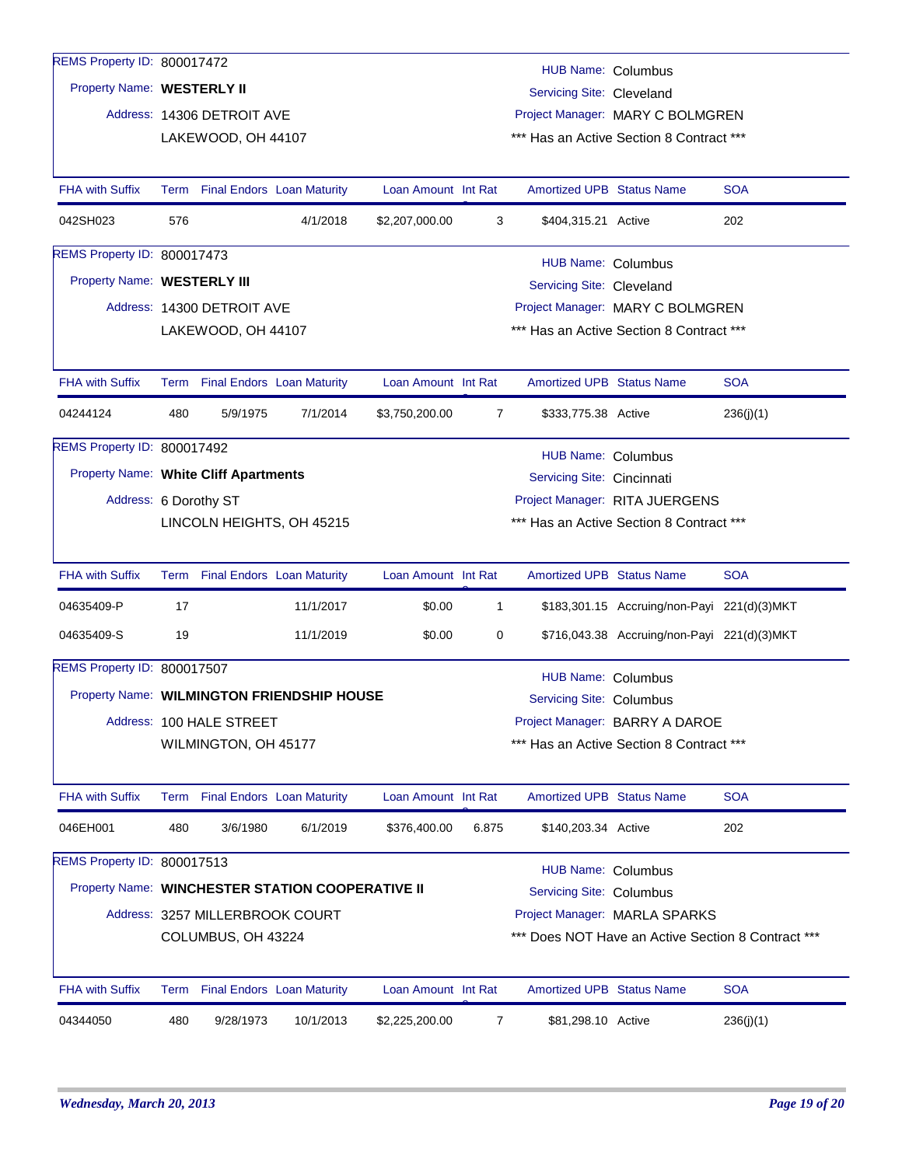| REMS Property ID: 800017472           |     |                                 |                                                  |                     |                | <b>HUB Name: Columbus</b>        |                                                    |            |
|---------------------------------------|-----|---------------------------------|--------------------------------------------------|---------------------|----------------|----------------------------------|----------------------------------------------------|------------|
| Property Name: WESTERLY II            |     |                                 |                                                  |                     |                | Servicing Site: Cleveland        |                                                    |            |
|                                       |     | Address: 14306 DETROIT AVE      |                                                  |                     |                |                                  | Project Manager: MARY C BOLMGREN                   |            |
|                                       |     | LAKEWOOD, OH 44107              |                                                  |                     |                |                                  | *** Has an Active Section 8 Contract ***           |            |
|                                       |     |                                 |                                                  |                     |                |                                  |                                                    |            |
| <b>FHA with Suffix</b>                |     | Term Final Endors Loan Maturity |                                                  | Loan Amount Int Rat |                | <b>Amortized UPB Status Name</b> |                                                    | <b>SOA</b> |
| 042SH023                              | 576 |                                 | 4/1/2018                                         | \$2,207,000.00      | 3              | \$404,315.21 Active              |                                                    | 202        |
| REMS Property ID: 800017473           |     |                                 |                                                  |                     |                | <b>HUB Name: Columbus</b>        |                                                    |            |
| Property Name: WESTERLY III           |     |                                 |                                                  |                     |                | Servicing Site: Cleveland        |                                                    |            |
|                                       |     | Address: 14300 DETROIT AVE      |                                                  |                     |                |                                  | Project Manager: MARY C BOLMGREN                   |            |
|                                       |     | LAKEWOOD, OH 44107              |                                                  |                     |                |                                  | *** Has an Active Section 8 Contract ***           |            |
| <b>FHA with Suffix</b>                |     | Term Final Endors Loan Maturity |                                                  | Loan Amount Int Rat |                | <b>Amortized UPB Status Name</b> |                                                    | <b>SOA</b> |
| 04244124                              | 480 | 5/9/1975                        | 7/1/2014                                         | \$3,750,200.00      | $\overline{7}$ | \$333,775.38 Active              |                                                    | 236(j)(1)  |
| REMS Property ID: 800017492           |     |                                 |                                                  |                     |                | <b>HUB Name: Columbus</b>        |                                                    |            |
| Property Name: White Cliff Apartments |     |                                 |                                                  |                     |                | Servicing Site: Cincinnati       |                                                    |            |
| Address: 6 Dorothy ST                 |     |                                 |                                                  |                     |                |                                  | Project Manager: RITA JUERGENS                     |            |
|                                       |     |                                 | LINCOLN HEIGHTS, OH 45215                        |                     |                |                                  | *** Has an Active Section 8 Contract ***           |            |
|                                       |     |                                 |                                                  |                     |                |                                  |                                                    |            |
| <b>FHA with Suffix</b>                |     | Term Final Endors Loan Maturity |                                                  | Loan Amount Int Rat |                | <b>Amortized UPB Status Name</b> |                                                    | <b>SOA</b> |
| 04635409-P                            | 17  |                                 | 11/1/2017                                        | \$0.00              | 1              |                                  | \$183,301.15 Accruing/non-Payi 221(d)(3)MKT        |            |
| 04635409-S                            | 19  |                                 | 11/1/2019                                        | \$0.00              | 0              |                                  | \$716,043.38 Accruing/non-Payi 221(d)(3)MKT        |            |
| REMS Property ID: 800017507           |     |                                 |                                                  |                     |                | <b>HUB Name: Columbus</b>        |                                                    |            |
|                                       |     |                                 | Property Name: WILMINGTON FRIENDSHIP HOUSE       |                     |                | Servicing Site: Columbus         |                                                    |            |
|                                       |     | Address: 100 HALE STREET        |                                                  |                     |                |                                  | Project Manager: BARRY A DAROE                     |            |
|                                       |     | WILMINGTON, OH 45177            |                                                  |                     |                |                                  | *** Has an Active Section 8 Contract ***           |            |
|                                       |     |                                 |                                                  |                     |                |                                  |                                                    |            |
| <b>FHA with Suffix</b>                |     | Term Final Endors Loan Maturity |                                                  | Loan Amount Int Rat |                | <b>Amortized UPB Status Name</b> |                                                    | <b>SOA</b> |
| 046EH001                              | 480 | 3/6/1980                        | 6/1/2019                                         | \$376,400.00        | 6.875          | \$140,203.34 Active              |                                                    | 202        |
| REMS Property ID: 800017513           |     |                                 |                                                  |                     |                | <b>HUB Name: Columbus</b>        |                                                    |            |
|                                       |     |                                 | Property Name: WINCHESTER STATION COOPERATIVE II |                     |                | <b>Servicing Site: Columbus</b>  |                                                    |            |
|                                       |     | Address: 3257 MILLERBROOK COURT |                                                  |                     |                |                                  | Project Manager: MARLA SPARKS                      |            |
|                                       |     | COLUMBUS, OH 43224              |                                                  |                     |                |                                  | *** Does NOT Have an Active Section 8 Contract *** |            |
|                                       |     |                                 |                                                  |                     |                |                                  |                                                    |            |
| <b>FHA with Suffix</b>                |     | Term Final Endors Loan Maturity |                                                  | Loan Amount Int Rat |                | <b>Amortized UPB Status Name</b> |                                                    | <b>SOA</b> |
| 04344050                              | 480 | 9/28/1973                       | 10/1/2013                                        | \$2,225,200.00      | $\overline{7}$ | \$81,298.10 Active               |                                                    | 236(j)(1)  |